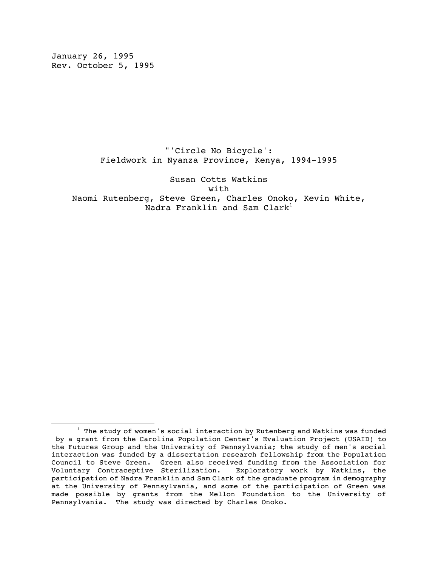January 26, 1995 Rev. October 5, 1995

 "'Circle No Bicycle': Fieldwork in Nyanza Province, Kenya, 1994-1995

 Susan Cotts Watkins with with the set of  $\mathbf{w}$ 

 Naomi Rutenberg, Steve Green, Charles Onoko, Kevin White, Nadra Franklin and Sam  $Clark<sup>1</sup>$ 

 $^1$  The study of women's social interaction by Rutenberg and Watkins was funded by a grant from the Carolina Population Center's Evaluation Project (USAID) to the Futures Group and the University of Pennsylvania; the study of men's social interaction was funded by a dissertation research fellowship from the Population Council to Steve Green. Green also received funding from the Association for Voluntary Contraceptive Sterilization. Exploratory work by Watkins, the participation of Nadra Franklin and Sam Clark of the graduate program in demography at the University of Pennsylvania, and some of the participation of Green was made possible by grants from the Mellon Foundation to the University of Pennsylvania. The study was directed by Charles Onoko.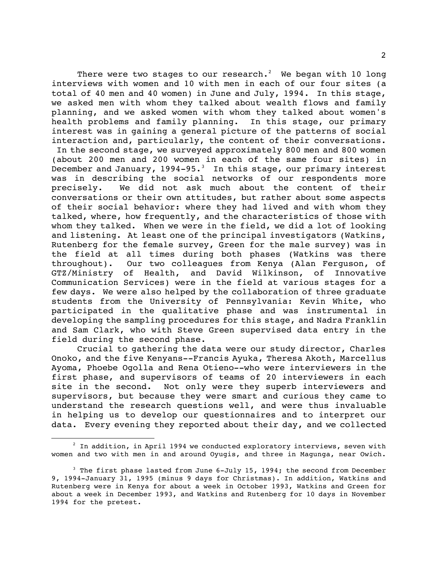There were two stages to our research. $^2\;$  We began with 10 long interviews with women and 10 with men in each of our four sites (a total of 40 men and 40 women) in June and July, 1994. In this stage, we asked men with whom they talked about wealth flows and family planning, and we asked women with whom they talked about women's health problems and family planning. In this stage, our primary interest was in gaining a general picture of the patterns of social interaction and, particularly, the content of their conversations.

 In the second stage, we surveyed approximately 800 men and 800 women (about 200 men and 200 women in each of the same four sites) in December and January, 1994-95. $^3$  In this stage, our primary interest was in describing the social networks of our respondents more precisely. We did not ask much about the content of their conversations or their own attitudes, but rather about some aspects of their social behavior: where they had lived and with whom they talked, where, how frequently, and the characteristics of those with whom they talked. When we were in the field, we did a lot of looking and listening. At least one of the principal investigators (Watkins, Rutenberg for the female survey, Green for the male survey) was in the field at all times during both phases (Watkins was there throughout). Our two colleagues from Kenya (Alan Ferguson, of GTZ/Ministry of Health, and David Wilkinson, of Innovative Communication Services) were in the field at various stages for a few days. We were also helped by the collaboration of three graduate students from the University of Pennsylvania: Kevin White, who participated in the qualitative phase and was instrumental in developing the sampling procedures for this stage, and Nadra Franklin and Sam Clark, who with Steve Green supervised data entry in the field during the second phase.

Crucial to gathering the data were our study director, Charles Onoko, and the five Kenyans--Francis Ayuka, Theresa Akoth, Marcellus Ayoma, Phoebe Ogolla and Rena Otieno--who were interviewers in the first phase, and supervisors of teams of 20 interviewers in each site in the second. Not only were they superb interviewers and supervisors, but because they were smart and curious they came to understand the research questions well, and were thus invaluable in helping us to develop our questionnaires and to interpret our data. Every evening they reported about their day, and we collected

È,  $^2$  In addition, in April 1994 we conducted exploratory interviews, seven with women and two with men in and around Oyugis, and three in Magunga, near Owich.

 $3$  The first phase lasted from June 6-July 15, 1994; the second from December 9, 1994-January 31, 1995 (minus 9 days for Christmas). In addition, Watkins and Rutenberg were in Kenya for about a week in October 1993, Watkins and Green for about a week in December 1993, and Watkins and Rutenberg for 10 days in November 1994 for the pretest.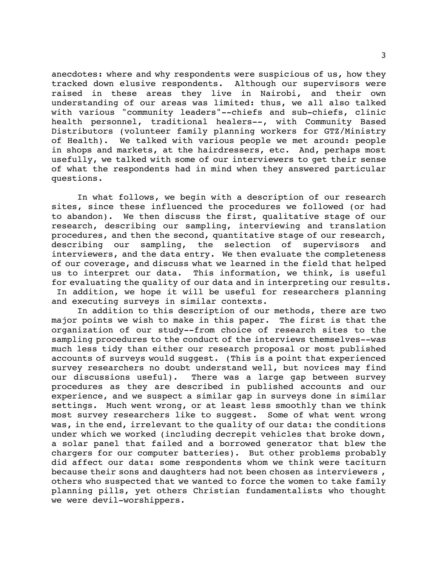anecdotes: where and why respondents were suspicious of us, how they tracked down elusive respondents. Although our supervisors were raised in these areas they live in Nairobi, and their own understanding of our areas was limited: thus, we all also talked with various "community leaders"--chiefs and sub-chiefs, clinic health personnel, traditional healers--, with Community Based Distributors (volunteer family planning workers for GTZ/Ministry of Health). We talked with various people we met around: people in shops and markets, at the hairdressers, etc. And, perhaps most usefully, we talked with some of our interviewers to get their sense of what the respondents had in mind when they answered particular questions.

In what follows, we begin with a description of our research sites, since these influenced the procedures we followed (or had to abandon). We then discuss the first, qualitative stage of our research, describing our sampling, interviewing and translation procedures, and then the second, quantitative stage of our research, describing our sampling, the selection of supervisors and interviewers, and the data entry. We then evaluate the completeness of our coverage, and discuss what we learned in the field that helped us to interpret our data. This information, we think, is useful for evaluating the quality of our data and in interpreting our results. In addition, we hope it will be useful for researchers planning and executing surveys in similar contexts.

In addition to this description of our methods, there are two major points we wish to make in this paper. The first is that the organization of our study--from choice of research sites to the sampling procedures to the conduct of the interviews themselves--was much less tidy than either our research proposal or most published accounts of surveys would suggest. (This is a point that experienced survey researchers no doubt understand well, but novices may find our discussions useful). There was a large gap between survey procedures as they are described in published accounts and our experience, and we suspect a similar gap in surveys done in similar settings. Much went wrong, or at least less smoothly than we think most survey researchers like to suggest. Some of what went wrong was, in the end, irrelevant to the quality of our data: the conditions under which we worked (including decrepit vehicles that broke down, a solar panel that failed and a borrowed generator that blew the chargers for our computer batteries). But other problems probably did affect our data: some respondents whom we think were taciturn because their sons and daughters had not been chosen as interviewers , others who suspected that we wanted to force the women to take family planning pills, yet others Christian fundamentalists who thought we were devil-worshippers.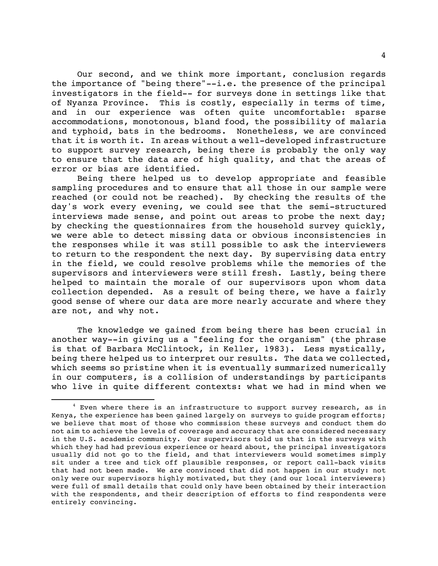Our second, and we think more important, conclusion regards the importance of "being there"--i.e. the presence of the principal investigators in the field-- for surveys done in settings like that of Nyanza Province. This is costly, especially in terms of time, and in our experience was often quite uncomfortable: sparse accommodations, monotonous, bland food, the possibility of malaria and typhoid, bats in the bedrooms. Nonetheless, we are convinced that it is worth it. In areas without a well-developed infrastructure to support survey research, being there is probably the only way to ensure that the data are of high quality, and that the areas of error or bias are identified.

Being there helped us to develop appropriate and feasible sampling procedures and to ensure that all those in our sample were reached (or could not be reached). By checking the results of the day's work every evening, we could see that the semi-structured interviews made sense, and point out areas to probe the next day; by checking the questionnaires from the household survey quickly, we were able to detect missing data or obvious inconsistencies in the responses while it was still possible to ask the interviewers to return to the respondent the next day. By supervising data entry in the field, we could resolve problems while the memories of the supervisors and interviewers were still fresh. Lastly, being there helped to maintain the morale of our supervisors upon whom data collection depended. As a result of being there, we have a fairly good sense of where our data are more nearly accurate and where they are not, and why not.

The knowledge we gained from being there has been crucial in another way--in giving us a "feeling for the organism" (the phrase is that of Barbara McClintock, in Keller, 1983). Less mystically, being there helped us to interpret our results. The data we collected, which seems so pristine when it is eventually summarized numerically in our computers, is a collision of understandings by participants who live in quite different contexts: what we had in mind when we

È,

<sup>&</sup>lt;sup>4</sup> Even where there is an infrastructure to support survey research, as in Kenya, the experience has been gained largely on surveys to guide program efforts; we believe that most of those who commission these surveys and conduct them do not aim to achieve the levels of coverage and accuracy that are considered necessary in the U.S. academic community. Our supervisors told us that in the surveys with which they had had previous experience or heard about, the principal investigators usually did not go to the field, and that interviewers would sometimes simply sit under a tree and tick off plausible responses, or report call-back visits that had not been made. We are convinced that did not happen in our study: not only were our supervisors highly motivated, but they (and our local interviewers) were full of small details that could only have been obtained by their interaction with the respondents, and their description of efforts to find respondents were entirely convincing.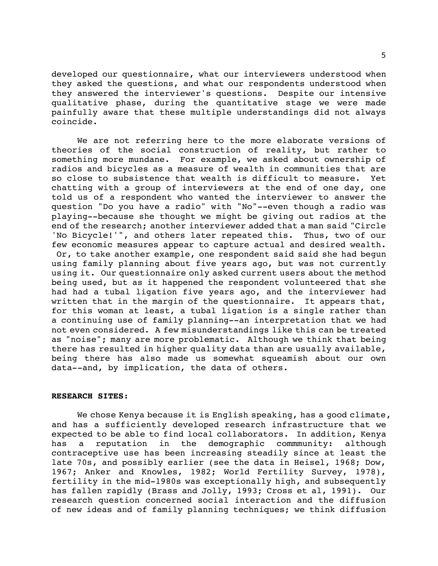developed our questionnaire, what our interviewers understood when they asked the questions, and what our respondents understood when they answered the interviewer's questions. Despite our intensive qualitative phase, during the quantitative stage we were made painfully aware that these multiple understandings did not always coincide.

We are not referring here to the more elaborate versions of theories of the social construction of reality, but rather to something more mundane. For example, we asked about ownership of radios and bicycles as a measure of wealth in communities that are so close to subsistence that wealth is difficult to measure. Yet chatting with a group of interviewers at the end of one day, one told us of a respondent who wanted the interviewer to answer the question "Do you have a radio" with "No"--even though a radio was playing--because she thought we might be giving out radios at the end of the research; another interviewer added that a man said "Circle 'No Bicycle!'", and others later repeated this. Thus, two of our few economic measures appear to capture actual and desired wealth. Or, to take another example, one respondent said said she had begun using family planning about five years ago, but was not currently using it. Our questionnaire only asked current users about the method being used, but as it happened the respondent volunteered that she had had a tubal ligation five years ago, and the interviewer had written that in the margin of the questionnaire. It appears that, for this woman at least, a tubal ligation is a single rather than a continuing use of family planning--an interpretation that we had not even considered. A few misunderstandings like this can be treated as "noise"; many are more problematic. Although we think that being there has resulted in higher quality data than are usually available, being there has also made us somewhat squeamish about our own data--and, by implication, the data of others.

# **RESEARCH SITES**:

We chose Kenya because it is English speaking, has a good climate, and has a sufficiently developed research infrastructure that we expected to be able to find local collaborators. In addition, Kenya has a reputation in the demographic commmunity: although contraceptive use has been increasing steadily since at least the late 70s, and possibly earlier (see the data in Heisel, 1968; Dow, 1967; Anker and Knowles, 1982; World Fertility Survey, 1978), fertility in the mid-1980s was exceptionally high, and subsequently has fallen rapidly (Brass and Jolly, 1993; Cross et al, 1991). Our research question concerned social interaction and the diffusion of new ideas and of family planning techniques; we think diffusion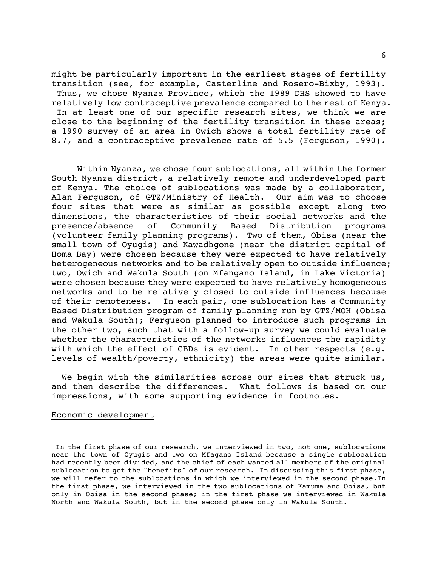might be particularly important in the earliest stages of fertility transition (see, for example, Casterline and Rosero-Bixby, 1993). Thus, we chose Nyanza Province, which the 1989 DHS showed to have relatively low contraceptive prevalence compared to the rest of Kenya. In at least one of our specific research sites, we think we are close to the beginning of the fertility transition in these areas; a 1990 survey of an area in Owich shows a total fertility rate of 8.7, and a contraceptive prevalence rate of 5.5 (Ferguson, 1990).

Within Nyanza, we chose four sublocations, all within the former South Nyanza district, a relatively remote and underdeveloped part of Kenya. The choice of sublocations was made by a collaborator, Alan Ferguson, of GTZ/Ministry of Health. Our aim was to choose four sites that were as similar as possible except along two dimensions, the characteristics of their social networks and the presence/absence of Community Based Distribution programs (volunteer family planning programs). Two of them, Obisa (near the small town of Oyugis) and Kawadhgone (near the district capital of Homa Bay) were chosen because they were expected to have relatively heterogeneous networks and to be relatively open to outside influence; two, Owich and Wakula South (on Mfangano Island, in Lake Victoria) were chosen because they were expected to have relatively homogeneous networks and to be relatively closed to outside influences because of their remoteness. In each pair, one sublocation has a Community Based Distribution program of family planning run by GTZ/MOH (Obisa and Wakula South); Ferguson planned to introduce such programs in the other two, such that with a follow-up survey we could evaluate whether the characteristics of the networks influences the rapidity with which the effect of CBDs is evident. In other respects (e.g. levels of wealth/poverty, ethnicity) the areas were quite similar.

We begin with the similarities across our sites that struck us, and then describe the differences. What follows is based on our impressions, with some supporting evidence in footnotes.

# Economic development

In the first phase of our research, we interviewed in two, not one, sublocations near the town of Oyugis and two on Mfagano Island because a single sublocation had recently been divided, and the chief of each wanted all members of the original sublocation to get the "benefits" of our research. In discussing this first phase, we will refer to the sublocations in which we interviewed in the second phase.In the first phase, we interviewed in the two sublocations of Kamuma and Obisa, but only in Obisa in the second phase; in the first phase we interviewed in Wakula North and Wakula South, but in the second phase only in Wakula South.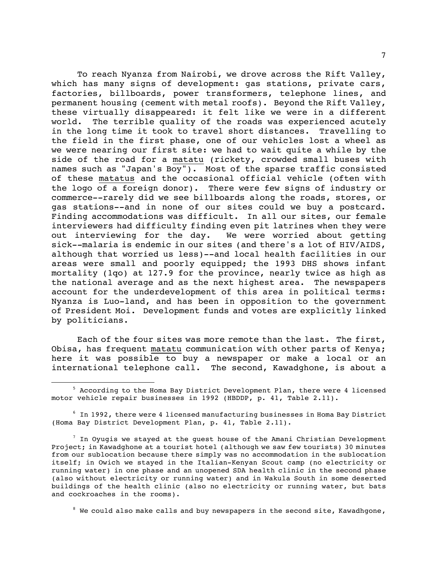To reach Nyanza from Nairobi, we drove across the Rift Valley, which has many signs of development: gas stations, private cars, factories, billboards, power transformers, telephone lines, and permanent housing (cement with metal roofs). Beyond the Rift Valley, these virtually disappeared: it felt like we were in a different world. The terrible quality of the roads was experienced acutely in the long time it took to travel short distances. Travelling to the field in the first phase, one of our vehicles lost a wheel as we were nearing our first site: we had to wait quite a while by the side of the road for a matatu (rickety, crowded small buses with names such as "Japan's Boy"). Most of the sparse traffic consisted of these matatus and the occasional official vehicle (often with the logo of a foreign donor). There were few signs of industry or commerce--rarely did we see billboards along the roads, stores, or gas stations--and in none of our sites could we buy a postcard. Finding accommodations was difficult. In all our sites, our female interviewers had difficulty finding even pit latrines when they were out interviewing for the day. We were worried about getting sick--malaria is endemic in our sites (and there's a lot of HIV/AIDS, although that worried us less)--and local health facilities in our areas were small and poorly equipped; the 1993 DHS shows infant mortality (1qo) at 127.9 for the province, nearly twice as high as the national average and as the next highest area. The newspapers account for the underdevelopment of this area in political terms: Nyanza is Luo-land, and has been in opposition to the government of President Moi. Development funds and votes are explicitly linked by politicians.

Each of the four sites was more remote than the last. The first, Obisa, has frequent matatu communication with other parts of Kenya; here it was possible to buy a newspaper or make a local or an international telephone call. The second, Kawadghone, is about a

 $^8$  We could also make calls and buy newspapers in the second site, Kawadhgone,

<sup>&</sup>lt;sup>5</sup> According to the Homa Bay District Development Plan, there were 4 licensed motor vehicle repair businesses in 1992 (HBDDP, p. 41, Table 2.11).

 $^6$  In 1992, there were 4 licensed manufacturing businesses in Homa Bay District (Homa Bay District Development Plan, p. 41, Table 2.11).

 $^7$  In Oyugis we stayed at the guest house of the Amani Christian Development Project; in Kawadghone at a tourist hotel (although we saw few tourists) 30 minutes from our sublocation because there simply was no accommodation in the sublocation itself; in Owich we stayed in the Italian-Kenyan Scout camp (no electricity or running water) in one phase and an unopened SDA health clinic in the second phase (also without electricity or running water) and in Wakula South in some deserted buildings of the health clinic (also no electricity or running water, but bats and cockroaches in the rooms).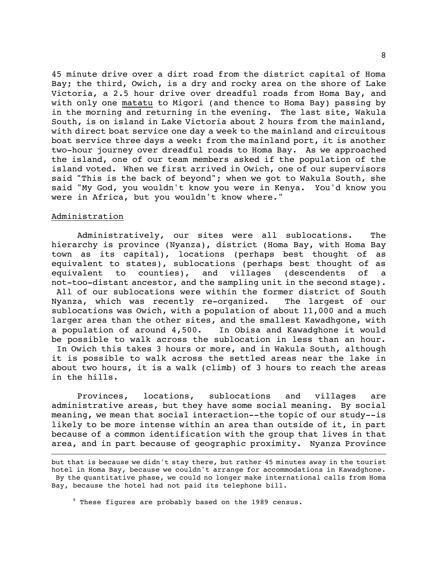45 minute drive over a dirt road from the district capital of Homa Bay; the third, Owich, is a dry and rocky area on the shore of Lake Victoria, a 2.5 hour drive over dreadful roads from Homa Bay, and with only one matatu to Migori (and thence to Homa Bay) passing by in the morning and returning in the evening. The last site, Wakula South, is on island in Lake Victoria about 2 hours from the mainland, with direct boat service one day a week to the mainland and circuitous boat service three days a week: from the mainland port, it is another two-hour journey over dreadful roads to Homa Bay. As we approached the island, one of our team members asked if the population of the island voted. When we first arrived in Owich, one of our supervisors said "This is the back of beyond"; when we got to Wakula South, she said "My God, you wouldn't know you were in Kenya. You'd know you were in Africa, but you wouldn't know where."

# Administration

 $\overline{\phantom{0}}$ 

Administratively, our sites were all sublocations. The hierarchy is province (Nyanza), district (Homa Bay, with Homa Bay town as its capital), locations (perhaps best thought of as equivalent to states), sublocations (perhaps best thought of as equivalent to counties), and villages (descendents of a not-too-distant ancestor, and the sampling unit in the second stage). All of our sublocations were within the former district of South Nyanza, which was recently re-organized. The largest of our sublocations was Owich, with a population of about 11,000 and a much larger area than the other sites, and the smallest Kawadhgone, with a population of around 4,500. In Obisa and Kawadghone it would be possible to walk across the sublocation in less than an hour. In Owich this takes 3 hours or more, and in Wakula South, although it is possible to walk across the settled areas near the lake in about two hours, it is a walk (climb) of 3 hours to reach the areas in the hills.

Provinces, locations, sublocations and villages are administrative areas, but they have some social meaning. By social meaning, we mean that social interaction--the topic of our study--is likely to be more intense within an area than outside of it, in part because of a common identification with the group that lives in that area, and in part because of geographic proximity. Nyanza Province

but that is because we didn't stay there, but rather 45 minutes away in the tourist hotel in Homa Bay, because we couldn't arrange for accommodations in Kawadghone. By the quantitative phase, we could no longer make international calls from Homa Bay, because the hotel had not paid its telephone bill.

<sup>9</sup>  $9$  These figures are probably based on the 1989 census.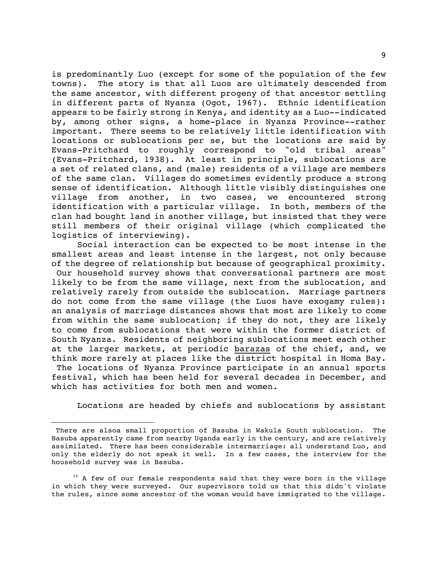is predominantly Luo (except for some of the population of the few towns). The story is that all Luos are ultimately descended from the same ancestor, with different progeny of that ancestor settling in different parts of Nyanza (Ogot, 1967). Ethnic identification appears to be fairly strong in Kenya, and identity as a Luo--indicated by, among other signs, a home-place in Nyanza Province--rather important. There seems to be relatively little identification with locations or sublocations per se, but the locations are said by Evans-Pritchard to roughly correspond to "old tribal areas" (Evans-Pritchard, 1938). At least in principle, sublocations are a set of related clans, and (male) residents of a village are members of the same clan. Villages do sometimes evidently produce a strong sense of identification. Although little visibly distinguishes one village from another, in two cases, we encountered strong identification with a particular village. In both, members of the clan had bought land in another village, but insisted that they were still members of their original village (which complicated the logistics of interviewing).

Social interaction can be expected to be most intense in the smallest areas and least intense in the largest, not only because of the degree of relationship but because of geographical proximity. Our household survey shows that conversational partners are most likely to be from the same village, next from the sublocation, and relatively rarely from outside the sublocation. Marriage partners do not come from the same village (the Luos have exogamy rules): an analysis of marriage distances shows that most are likely to come from within the same sublocation; if they do not, they are likely to come from sublocations that were within the former district of South Nyanza. Residents of neighboring sublocations meet each other at the larger markets, at periodic barazas of the chief, and, we think more rarely at places like the district hospital in Homa Bay. The locations of Nyanza Province participate in an annual sports festival, which has been held for several decades in December, and which has activities for both men and women.

Locations are headed by chiefs and sublocations by assistant

There are alsoa small proportion of Basuba in Wakula South sublocation. The Basuba apparently came from nearby Uganda early in the century, and are relatively assimilated. There has been considerable intermarriage: all understand Luo, and only the elderly do not speak it well. In a few cases, the interview for the household survey was in Basuba.

<sup>&</sup>lt;sup>10</sup> A few of our female respondents said that they were born in the village in which they were surveyed. Our supervisors told us that this didn't violate the rules, since some ancestor of the woman would have immigrated to the village.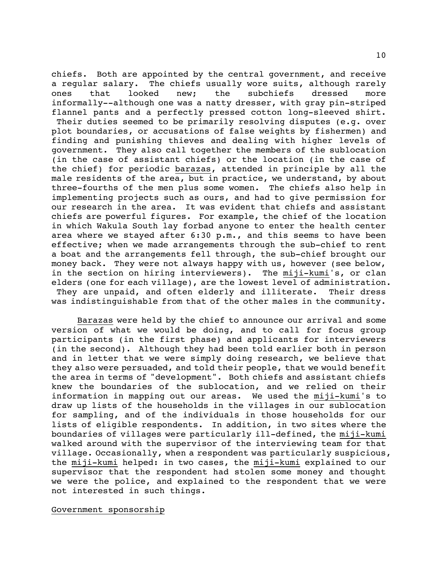chiefs. Both are appointed by the central government, and receive a regular salary. The chiefs usually wore suits, although rarely ones that looked new; the subchiefs dressed more informally--although one was a natty dresser, with gray pin-striped flannel pants and a perfectly pressed cotton long-sleeved shirt.

 Their duties seemed to be primarily resolving disputes (e.g. over plot boundaries, or accusations of false weights by fishermen) and finding and punishing thieves and dealing with higher levels of government. They also call together the members of the sublocation (in the case of assistant chiefs) or the location (in the case of the chief) for periodic barazas, attended in principle by all the male residents of the area, but in practice, we understand, by about three-fourths of the men plus some women. The chiefs also help in implementing projects such as ours, and had to give permission for our research in the area. It was evident that chiefs and assistant chiefs are powerful figures. For example, the chief of the location in which Wakula South lay forbad anyone to enter the health center area where we stayed after 6:30 p.m., and this seems to have been effective; when we made arrangements through the sub-chief to rent a boat and the arrangements fell through, the sub-chief brought our money back. They were not always happy with us, however (see below, in the section on hiring interviewers). The miji-kumi's, or clan elders (one for each village), are the lowest level of administration. They are unpaid, and often elderly and illiterate. Their dress was indistinguishable from that of the other males in the community.

Barazas were held by the chief to announce our arrival and some version of what we would be doing, and to call for focus group participants (in the first phase) and applicants for interviewers (in the second). Although they had been told earlier both in person and in letter that we were simply doing research, we believe that they also were persuaded, and told their people, that we would benefit the area in terms of "development". Both chiefs and assistant chiefs knew the boundaries of the sublocation, and we relied on their information in mapping out our areas. We used the miji-kumi's to draw up lists of the households in the villages in our sublocation for sampling, and of the individuals in those households for our lists of eligible respondents. In addition, in two sites where the boundaries of villages were particularly ill-defined, the miji-kumi walked around with the supervisor of the interviewing team for that village. Occasionally, when a respondent was particularly suspicious, the miji-kumi helped: in two cases, the miji-kumi explained to our supervisor that the respondent had stolen some money and thought we were the police, and explained to the respondent that we were not interested in such things.

Government sponsorship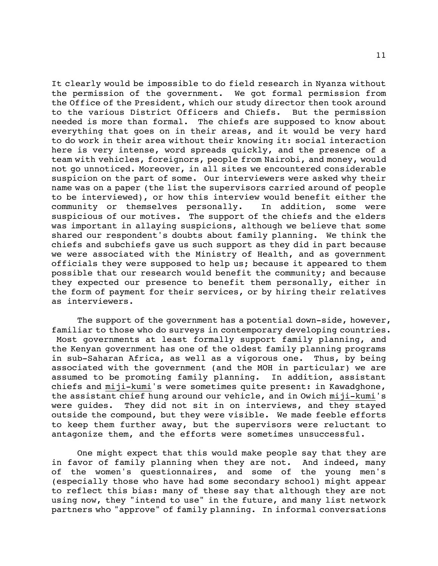It clearly would be impossible to do field research in Nyanza without the permission of the government. We got formal permission from the Office of the President, which our study director then took around to the various District Officers and Chiefs. But the permission needed is more than formal. The chiefs are supposed to know about everything that goes on in their areas, and it would be very hard to do work in their area without their knowing it: social interaction here is very intense, word spreads quickly, and the presence of a team with vehicles, foreignors, people from Nairobi, and money, would not go unnoticed. Moreover, in all sites we encountered considerable suspicion on the part of some. Our interviewers were asked why their name was on a paper (the list the supervisors carried around of people to be interviewed), or how this interview would benefit either the community or themselves personally. In addition, some were suspicious of our motives. The support of the chiefs and the elders was important in allaying suspicions, although we believe that some shared our respondent's doubts about family planning. We think the chiefs and subchiefs gave us such support as they did in part because we were associated with the Ministry of Health, and as government officials they were supposed to help us; because it appeared to them possible that our research would benefit the community; and because they expected our presence to benefit them personally, either in the form of payment for their services, or by hiring their relatives as interviewers.

The support of the government has a potential down-side, however, familiar to those who do surveys in contemporary developing countries. Most governments at least formally support family planning, and the Kenyan government has one of the oldest family planning programs in sub-Saharan Africa, as well as a vigorous one. Thus, by being associated with the government (and the MOH in particular) we are assumed to be promoting family planning. In addition, assistant chiefs and miji-kumi's were sometimes quite present: in Kawadghone, the assistant chief hung around our vehicle, and in Owich miji-kumi's were guides. They did not sit in on interviews, and they stayed outside the compound, but they were visible. We made feeble efforts to keep them further away, but the supervisors were reluctant to antagonize them, and the efforts were sometimes unsuccessful.

One might expect that this would make people say that they are in favor of family planning when they are not. And indeed, many of the women's questionnaires, and some of the young men's (especially those who have had some secondary school) might appear to reflect this bias: many of these say that although they are not using now, they "intend to use" in the future, and many list network partners who "approve" of family planning. In informal conversations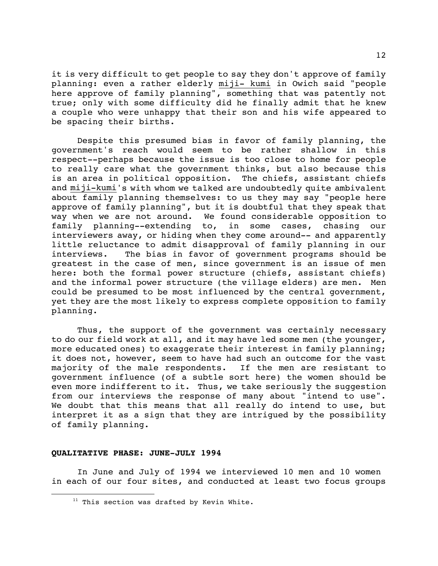it is very difficult to get people to say they don't approve of family planning: even a rather elderly miji- kumi in Owich said "people here approve of family planning", something that was patently not true; only with some difficulty did he finally admit that he knew a couple who were unhappy that their son and his wife appeared to be spacing their births.

Despite this presumed bias in favor of family planning, the government's reach would seem to be rather shallow in this respect--perhaps because the issue is too close to home for people to really care what the government thinks, but also because this is an area in political opposition. The chiefs, assistant chiefs and miji-kumi's with whom we talked are undoubtedly quite ambivalent about family planning themselves: to us they may say "people here approve of family planning", but it is doubtful that they speak that way when we are not around. We found considerable opposition to family planning--extending to, in some cases, chasing our interviewers away, or hiding when they come around-- and apparently little reluctance to admit disapproval of family planning in our interviews. The bias in favor of government programs should be greatest in the case of men, since government is an issue of men here: both the formal power structure (chiefs, assistant chiefs) and the informal power structure (the village elders) are men. Men could be presumed to be most influenced by the central government, yet they are the most likely to express complete opposition to family planning.

Thus, the support of the government was certainly necessary to do our field work at all, and it may have led some men (the younger, more educated ones) to exaggerate their interest in family planning; it does not, however, seem to have had such an outcome for the vast majority of the male respondents. If the men are resistant to government influence (of a subtle sort here) the women should be even more indifferent to it. Thus, we take seriously the suggestion from our interviews the response of many about "intend to use". We doubt that this means that all really do intend to use, but interpret it as a sign that they are intrigued by the possibility of family planning.

#### **QUALITATIVE PHASE: JUNE-JULY 1994**

È,

In June and July of 1994 we interviewed 10 men and 10 women in each of our four sites, and conducted at least two focus groups

 $11$  This section was drafted by Kevin White.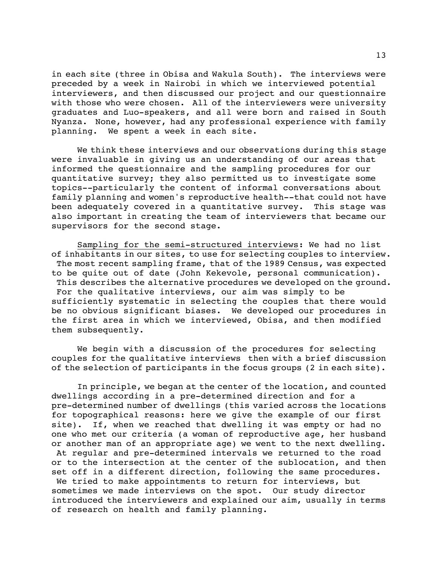in each site (three in Obisa and Wakula South). The interviews were preceded by a week in Nairobi in which we interviewed potential interviewers, and then discussed our project and our questionnaire with those who were chosen. All of the interviewers were university graduates and Luo-speakers, and all were born and raised in South Nyanza. None, however, had any professional experience with family planning. We spent a week in each site.

We think these interviews and our observations during this stage were invaluable in giving us an understanding of our areas that informed the questionnaire and the sampling procedures for our quantitative survey; they also permitted us to investigate some topics--particularly the content of informal conversations about family planning and women's reproductive health--that could not have been adequately covered in a quantitative survey. This stage was also important in creating the team of interviewers that became our supervisors for the second stage.

Sampling for the semi-structured interviews: We had no list of inhabitants in our sites, to use for selecting couples to interview. The most recent sampling frame, that of the 1989 Census, was expected to be quite out of date (John Kekevole, personal communication). This describes the alternative procedures we developed on the ground. For the qualitative interviews, our aim was simply to be sufficiently systematic in selecting the couples that there would be no obvious significant biases. We developed our procedures in the first area in which we interviewed, Obisa, and then modified them subsequently.

We begin with a discussion of the procedures for selecting couples for the qualitative interviews then with a brief discussion of the selection of participants in the focus groups (2 in each site).

In principle, we began at the center of the location, and counted dwellings according in a pre-determined direction and for a pre-determined number of dwellings (this varied across the locations for topographical reasons: here we give the example of our first site). If, when we reached that dwelling it was empty or had no one who met our criteria (a woman of reproductive age, her husband or another man of an appropriate age) we went to the next dwelling. At regular and pre-determined intervals we returned to the road or to the intersection at the center of the sublocation, and then set off in a different direction, following the same procedures. We tried to make appointments to return for interviews, but sometimes we made interviews on the spot. Our study director introduced the interviewers and explained our aim, usually in terms of research on health and family planning.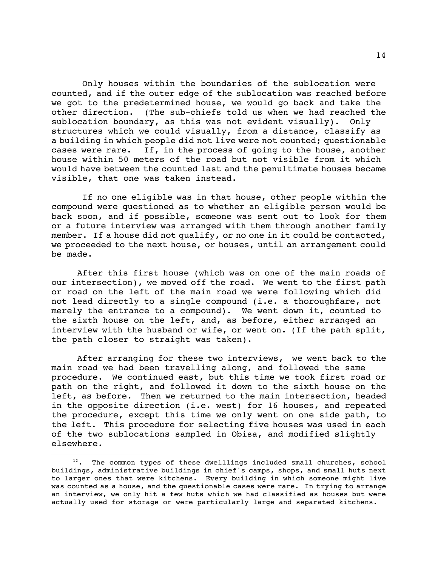Only houses within the boundaries of the sublocation were counted, and if the outer edge of the sublocation was reached before we got to the predetermined house, we would go back and take the other direction. (The sub-chiefs told us when we had reached the sublocation boundary, as this was not evident visually). Only structures which we could visually, from a distance, classify as a building in which people did not live were not counted; questionable cases were rare. If, in the process of going to the house, another house within 50 meters of the road but not visible from it which would have between the counted last and the penultimate houses became visible, that one was taken instead.

 If no one eligible was in that house, other people within the compound were questioned as to whether an eligible person would be back soon, and if possible, someone was sent out to look for them or a future interview was arranged with them through another family member. If a house did not qualify, or no one in it could be contacted, we proceeded to the next house, or houses, until an arrangement could be made.

After this first house (which was on one of the main roads of our intersection), we moved off the road. We went to the first path or road on the left of the main road we were following which did not lead directly to a single compound (i.e. a thoroughfare, not merely the entrance to a compound). We went down it, counted to the sixth house on the left, and, as before, either arranged an interview with the husband or wife, or went on. (If the path split, the path closer to straight was taken).

After arranging for these two interviews, we went back to the main road we had been travelling along, and followed the same procedure. We continued east, but this time we took first road or path on the right, and followed it down to the sixth house on the left, as before. Then we returned to the main intersection, headed in the opposite direction (i.e. west) for 16 houses, and repeated the procedure, except this time we only went on one side path, to the left. This procedure for selecting five houses was used in each of the two sublocations sampled in Obisa, and modified slightly elsewhere.

È,

<sup>&</sup>lt;sup>12</sup>. The common types of these dwelllings included small churches, school buildings, administrative buildings in chief's camps, shops, and small huts next to larger ones that were kitchens. Every building in which someone might live was counted as a house, and the questionable cases were rare. In trying to arrange an interview, we only hit a few huts which we had classified as houses but were actually used for storage or were particularly large and separated kitchens.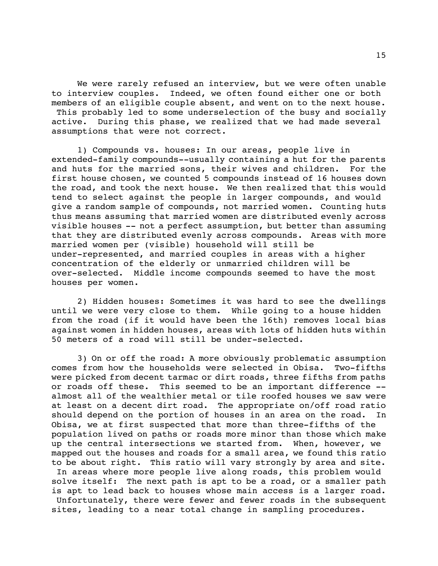We were rarely refused an interview, but we were often unable to interview couples. Indeed, we often found either one or both members of an eligible couple absent, and went on to the next house. This probably led to some underselection of the busy and socially active. During this phase, we realized that we had made several assumptions that were not correct.

1) Compounds vs. houses: In our areas, people live in extended-family compounds--usually containing a hut for the parents and huts for the married sons, their wives and children. For the first house chosen, we counted 5 compounds instead of 16 houses down the road, and took the next house. We then realized that this would tend to select against the people in larger compounds, and would give a random sample of compounds, not married women. Counting huts thus means assuming that married women are distributed evenly across visible houses -- not a perfect assumption, but better than assuming that they are distributed evenly across compounds. Areas with more married women per (visible) household will still be under-represented, and married couples in areas with a higher concentration of the elderly or unmarried children will be over-selected. Middle income compounds seemed to have the most houses per women.

2) Hidden houses: Sometimes it was hard to see the dwellings until we were very close to them. While going to a house hidden from the road (if it would have been the 16th) removes local bias against women in hidden houses, areas with lots of hidden huts within 50 meters of a road will still be under-selected.

3) On or off the road: A more obviously problematic assumption comes from how the households were selected in Obisa. Two-fifths were picked from decent tarmac or dirt roads, three fifths from paths or roads off these. This seemed to be an important difference - almost all of the wealthier metal or tile roofed houses we saw were at least on a decent dirt road. The appropriate on/off road ratio should depend on the portion of houses in an area on the road. In Obisa, we at first suspected that more than three-fifths of the population lived on paths or roads more minor than those which make up the central intersections we started from. When, however, we mapped out the houses and roads for a small area, we found this ratio to be about right. This ratio will vary strongly by area and site. In areas where more people live along roads, this problem would solve itself: The next path is apt to be a road, or a smaller path is apt to lead back to houses whose main access is a larger road.

 Unfortunately, there were fewer and fewer roads in the subsequent sites, leading to a near total change in sampling procedures.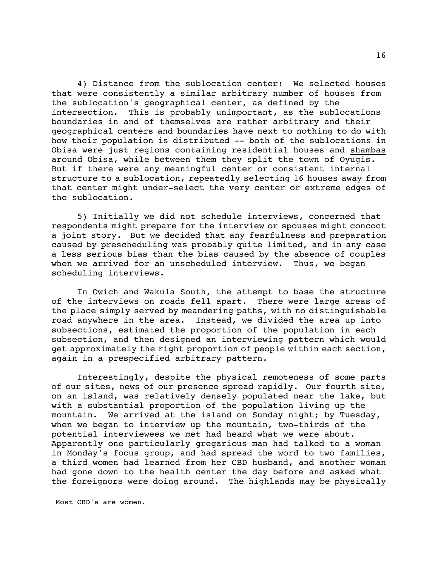4) Distance from the sublocation center: We selected houses that were consistently a similar arbitrary number of houses from the sublocation's geographical center, as defined by the intersection. This is probably unimportant, as the sublocations boundaries in and of themselves are rather arbitrary and their geographical centers and boundaries have next to nothing to do with how their population is distributed -- both of the sublocations in Obisa were just regions containing residential houses and shambas around Obisa, while between them they split the town of Oyugis. But if there were any meaningful center or consistent internal structure to a sublocation, repeatedly selecting 16 houses away from that center might under-select the very center or extreme edges of the sublocation.

5) Initially we did not schedule interviews, concerned that respondents might prepare for the interview or spouses might concoct a joint story. But we decided that any fearfulness and preparation caused by prescheduling was probably quite limited, and in any case a less serious bias than the bias caused by the absence of couples when we arrived for an unscheduled interview. Thus, we began scheduling interviews.

In Owich and Wakula South, the attempt to base the structure of the interviews on roads fell apart. There were large areas of the place simply served by meandering paths, with no distinguishable road anywhere in the area. Instead, we divided the area up into subsections, estimated the proportion of the population in each subsection, and then designed an interviewing pattern which would get approximately the right proportion of people within each section, again in a prespecified arbitrary pattern.

Interestingly, despite the physical remoteness of some parts of our sites, news of our presence spread rapidly. Our fourth site, on an island, was relatively densely populated near the lake, but with a substantial proportion of the population living up the mountain. We arrived at the island on Sunday night; by Tuesday, when we began to interview up the mountain, two-thirds of the potential interviewees we met had heard what we were about. Apparently one particularly gregarious man had talked to a woman in Monday's focus group, and had spread the word to two families, a third women had learned from her CBD husband, and another woman had gone down to the health center the day before and asked what the foreignors were doing around. The highlands may be physically

Most CBD's are women.

È,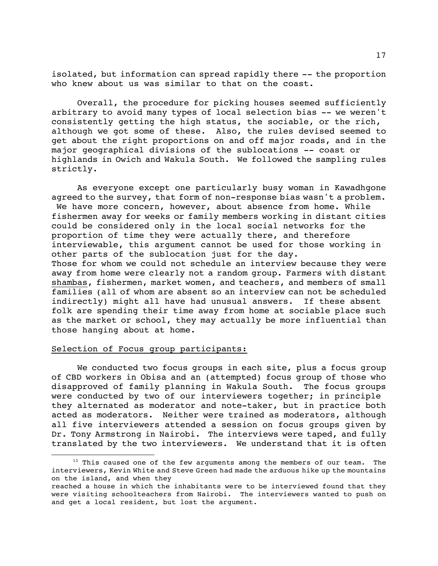isolated, but information can spread rapidly there -- the proportion who knew about us was similar to that on the coast.

Overall, the procedure for picking houses seemed sufficiently arbitrary to avoid many types of local selection bias -- we weren't consistently getting the high status, the sociable, or the rich, although we got some of these. Also, the rules devised seemed to get about the right proportions on and off major roads, and in the major geographical divisions of the sublocations -- coast or highlands in Owich and Wakula South. We followed the sampling rules strictly.

As everyone except one particularly busy woman in Kawadhgone agreed to the survey, that form of non-response bias wasn't a problem. We have more concern, however, about absence from home. While fishermen away for weeks or family members working in distant cities could be considered only in the local social networks for the proportion of time they were actually there, and therefore interviewable, this argument cannot be used for those working in other parts of the sublocation just for the day. Those for whom we could not schedule an interview because they were away from home were clearly not a random group. Farmers with distant shambas, fishermen, market women, and teachers, and members of small families (all of whom are absent so an interview can not be scheduled indirectly) might all have had unusual answers. If these absent folk are spending their time away from home at sociable place such as the market or school, they may actually be more influential than those hanging about at home.

# Selection of Focus group participants:

We conducted two focus groups in each site, plus a focus group of CBD workers in Obisa and an (attempted) focus group of those who disapproved of family planning in Wakula South. The focus groups were conducted by two of our interviewers together; in principle they alternated as moderator and note-taker, but in practice both acted as moderators. Neither were trained as moderators, although all five interviewers attended a session on focus groups given by Dr. Tony Armstrong in Nairobi. The interviews were taped, and fully translated by the two interviewers. We understand that it is often

<sup>&</sup>lt;sup>13</sup> This caused one of the few arguments among the members of our team. The interviewers, Kevin White and Steve Green had made the arduous hike up the mountains on the island, and when they

reached a house in which the inhabitants were to be interviewed found that they were visiting schoolteachers from Nairobi. The interviewers wanted to push on and get a local resident, but lost the argument.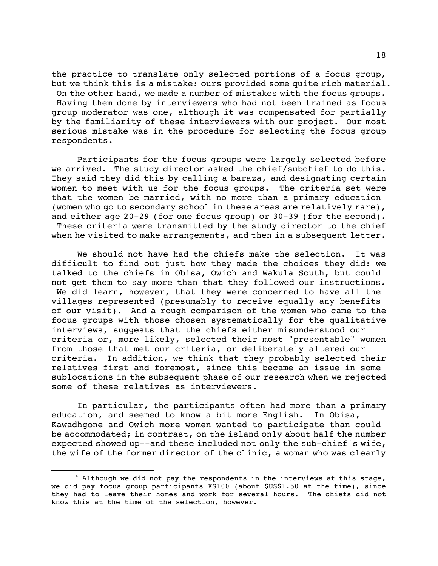the practice to translate only selected portions of a focus group, but we think this is a mistake: ours provided some quite rich material. On the other hand, we made a number of mistakes with the focus groups. Having them done by interviewers who had not been trained as focus group moderator was one, although it was compensated for partially by the familiarity of these interviewers with our project. Our most serious mistake was in the procedure for selecting the focus group respondents.

Participants for the focus groups were largely selected before we arrived. The study director asked the chief/subchief to do this. They said they did this by calling a baraza, and designating certain women to meet with us for the focus groups. The criteria set were that the women be married, with no more than a primary education (women who go to secondary school in these areas are relatively rare), and either age 20-29 (for one focus group) or 30-39 (for the second). These criteria were transmitted by the study director to the chief when he visited to make arrangements, and then in a subsequent letter.

We should not have had the chiefs make the selection. It was difficult to find out just how they made the choices they did: we talked to the chiefs in Obisa, Owich and Wakula South, but could not get them to say more than that they followed our instructions. We did learn, however, that they were concerned to have all the villages represented (presumably to receive equally any benefits of our visit). And a rough comparison of the women who came to the focus groups with those chosen systematically for the qualitative interviews, suggests that the chiefs either misunderstood our criteria or, more likely, selected their most "presentable" women from those that met our criteria, or deliberately altered our criteria. In addition, we think that they probably selected their relatives first and foremost, since this became an issue in some sublocations in the subsequent phase of our research when we rejected some of these relatives as interviewers.

In particular, the participants often had more than a primary education, and seemed to know a bit more English. In Obisa, Kawadhgone and Owich more women wanted to participate than could be accommodated; in contrast, on the island only about half the number expected showed up--and these included not only the sub-chief's wife, the wife of the former director of the clinic, a woman who was clearly

È,

 $14$  Although we did not pay the respondents in the interviews at this stage, we did pay focus group participants KS100 (about \$US\$1.50 at the time), since they had to leave their homes and work for several hours. The chiefs did not know this at the time of the selection, however.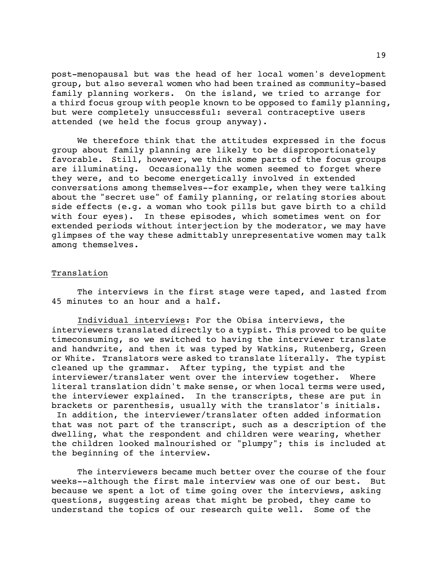post-menopausal but was the head of her local women's development group, but also several women who had been trained as community-based family planning workers. On the island, we tried to arrange for a third focus group with people known to be opposed to family planning, but were completely unsuccessful: several contraceptive users attended (we held the focus group anyway).

We therefore think that the attitudes expressed in the focus group about family planning are likely to be disproportionately favorable. Still, however, we think some parts of the focus groups are illuminating. Occasionally the women seemed to forget where they were, and to become energetically involved in extended conversations among themselves--for example, when they were talking about the "secret use" of family planning, or relating stories about side effects (e.g. a woman who took pills but gave birth to a child with four eyes). In these episodes, which sometimes went on for extended periods without interjection by the moderator, we may have glimpses of the way these admittably unrepresentative women may talk among themselves.

# Translation

the beginning of the interview.

The interviews in the first stage were taped, and lasted from 45 minutes to an hour and a half.

Individual interviews: For the Obisa interviews, the interviewers translated directly to a typist. This proved to be quite timeconsuming, so we switched to having the interviewer translate and handwrite, and then it was typed by Watkins, Rutenberg, Green or White. Translators were asked to translate literally. The typist cleaned up the grammar. After typing, the typist and the interviewer/translater went over the interview together. Where literal translation didn't make sense, or when local terms were used, the interviewer explained. In the transcripts, these are put in brackets or parenthesis, usually with the translator's initials. In addition, the interviewer/translater often added information that was not part of the transcript, such as a description of the dwelling, what the respondent and children were wearing, whether

The interviewers became much better over the course of the four weeks--although the first male interview was one of our best. But because we spent a lot of time going over the interviews, asking questions, suggesting areas that might be probed, they came to understand the topics of our research quite well. Some of the

the children looked malnourished or "plumpy"; this is included at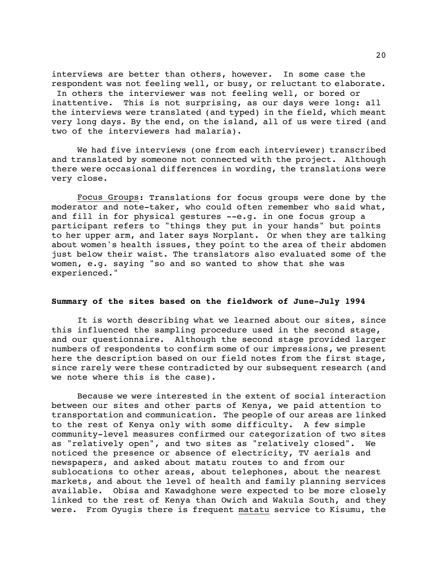interviews are better than others, however. In some case the respondent was not feeling well, or busy, or reluctant to elaborate. In others the interviewer was not feeling well, or bored or inattentive. This is not surprising, as our days were long: all

the interviews were translated (and typed) in the field, which meant very long days. By the end, on the island, all of us were tired (and two of the interviewers had malaria).

We had five interviews (one from each interviewer) transcribed and translated by someone not connected with the project. Although there were occasional differences in wording, the translations were very close.

Focus Groups: Translations for focus groups were done by the moderator and note-taker, who could often remember who said what, and fill in for physical gestures --e.g. in one focus group a participant refers to "things they put in your hands" but points to her upper arm, and later says Norplant. Or when they are talking about women's health issues, they point to the area of their abdomen just below their waist. The translators also evaluated some of the women, e.g. saying "so and so wanted to show that she was experienced."

# **Summary of the sites based on the fieldwork of June-July 1994**

It is worth describing what we learned about our sites, since this influenced the sampling procedure used in the second stage, and our questionnaire. Although the second stage provided larger numbers of respondents to confirm some of our impressions, we present here the description based on our field notes from the first stage, since rarely were these contradicted by our subsequent research (and we note where this is the case).

Because we were interested in the extent of social interaction between our sites and other parts of Kenya, we paid attention to transportation and communication. The people of our areas are linked to the rest of Kenya only with some difficulty. A few simple community-level measures confirmed our categorization of two sites as "relatively open", and two sites as "relatively closed". We noticed the presence or absence of electricity, TV aerials and newspapers, and asked about matatu routes to and from our sublocations to other areas, about telephones, about the nearest markets, and about the level of health and family planning services available. Obisa and Kawadghone were expected to be more closely linked to the rest of Kenya than Owich and Wakula South, and they were. From Oyugis there is frequent matatu service to Kisumu, the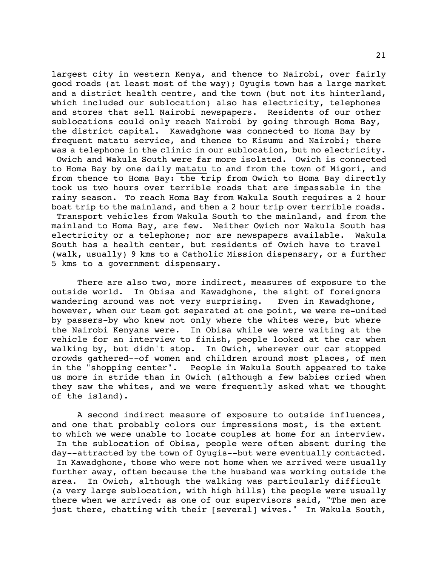largest city in western Kenya, and thence to Nairobi, over fairly good roads (at least most of the way); Oyugis town has a large market and a district health centre, and the town (but not its hinterland, which included our sublocation) also has electricity, telephones and stores that sell Nairobi newspapers. Residents of our other sublocations could only reach Nairobi by going through Homa Bay, the district capital. Kawadghone was connected to Homa Bay by frequent matatu service, and thence to Kisumu and Nairobi; there was a telephone in the clinic in our sublocation, but no electricity. Owich and Wakula South were far more isolated. Owich is connected to Homa Bay by one daily matatu to and from the town of Migori, and from thence to Homa Bay: the trip from Owich to Homa Bay directly took us two hours over terrible roads that are impassable in the rainy season. To reach Homa Bay from Wakula South requires a 2 hour boat trip to the mainland, and then a 2 hour trip over terrible roads. Transport vehicles from Wakula South to the mainland, and from the mainland to Homa Bay, are few. Neither Owich nor Wakula South has electricity or a telephone; nor are newspapers available. Wakula South has a health center, but residents of Owich have to travel (walk, usually) 9 kms to a Catholic Mission dispensary, or a further 5 kms to a government dispensary.

There are also two, more indirect, measures of exposure to the outside world. In Obisa and Kawadghone, the sight of foreignors wandering around was not very surprising. Even in Kawadghone, however, when our team got separated at one point, we were re-united by passers-by who knew not only where the whites were, but where the Nairobi Kenyans were. In Obisa while we were waiting at the vehicle for an interview to finish, people looked at the car when walking by, but didn't stop. In Owich, wherever our car stopped crowds gathered--of women and children around most places, of men in the "shopping center". People in Wakula South appeared to take us more in stride than in Owich (although a few babies cried when they saw the whites, and we were frequently asked what we thought of the island).

A second indirect measure of exposure to outside influences, and one that probably colors our impressions most, is the extent to which we were unable to locate couples at home for an interview. In the sublocation of Obisa, people were often absent during the day--attracted by the town of Oyugis--but were eventually contacted. In Kawadghone, those who were not home when we arrived were usually further away, often because the the husband was working outside the area. In Owich, although the walking was particularly difficult (a very large sublocation, with high hills) the people were usually there when we arrived: as one of our supervisors said, "The men are just there, chatting with their [several] wives." In Wakula South,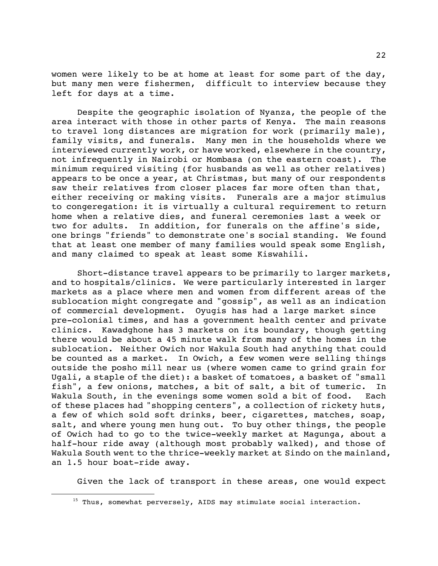women were likely to be at home at least for some part of the day, but many men were fishermen, difficult to interview because they left for days at a time.

Despite the geographic isolation of Nyanza, the people of the area interact with those in other parts of Kenya. The main reasons to travel long distances are migration for work (primarily male), family visits, and funerals. Many men in the households where we interviewed currently work, or have worked, elsewhere in the country, not infrequently in Nairobi or Mombasa (on the eastern coast). The minimum required visiting (for husbands as well as other relatives) appears to be once a year, at Christmas, but many of our respondents saw their relatives from closer places far more often than that, either receiving or making visits. Funerals are a major stimulus to congeregation: it is virtually a cultural requirement to return home when a relative dies, and funeral ceremonies last a week or two for adults. In addition, for funerals on the affine's side, one brings "friends" to demonstrate one's social standing. We found that at least one member of many families would speak some English, and many claimed to speak at least some Kiswahili.

Short-distance travel appears to be primarily to larger markets, and to hospitals/clinics. We were particularly interested in larger markets as a place where men and women from different areas of the sublocation might congregate and "gossip", as well as an indication of commercial development. Oyugis has had a large market since pre-colonial times, and has a government health center and private clinics. Kawadghone has 3 markets on its boundary, though getting there would be about a 45 minute walk from many of the homes in the sublocation. Neither Owich nor Wakula South had anything that could be counted as a market. In Owich, a few women were selling things outside the posho mill near us (where women came to grind grain for Ugali, a staple of the diet): a basket of tomatoes, a basket of "small fish", a few onions, matches, a bit of salt, a bit of tumeric. In Wakula South, in the evenings some women sold a bit of food. Each of these places had "shopping centers", a collection of rickety huts, a few of which sold soft drinks, beer, cigarettes, matches, soap, salt, and where young men hung out. To buy other things, the people of Owich had to go to the twice-weekly market at Magunga, about a half-hour ride away (although most probably walked), and those of Wakula South went to the thrice-weekly market at Sindo on the mainland, an 1.5 hour boat-ride away.

Given the lack of transport in these areas, one would expect

È,

 $15$  Thus, somewhat perversely, AIDS may stimulate social interaction.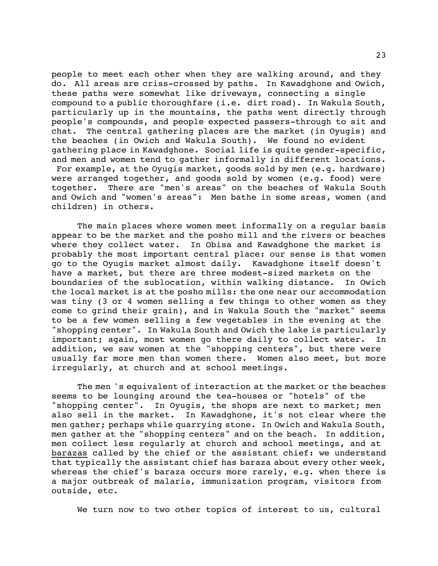people to meet each other when they are walking around, and they do. All areas are criss-crossed by paths. In Kawadghone and Owich, these paths were somewhat like driveways, connecting a single compound to a public thoroughfare (i.e. dirt road). In Wakula South, particularly up in the mountains, the paths went directly through people's compounds, and people expected passers-through to sit and chat. The central gathering places are the market (in Oyugis) and the beaches (in Owich and Wakula South). We found no evident gathering place in Kawadghone. Social life is quite gender-specific, and men and women tend to gather informally in different locations. For example, at the Oyugis market, goods sold by men (e.g. hardware) were arranged together, and goods sold by women (e.g. food) were together. There are "men's areas" on the beaches of Wakula South and Owich and "women's areas": Men bathe in some areas, women (and children) in others.

The main places where women meet informally on a regular basis appear to be the market and the posho mill and the rivers or beaches where they collect water. In Obisa and Kawadghone the market is probably the most important central place: our sense is that women go to the Oyugis market almost daily. Kawadghone itself doesn't have a market, but there are three modest-sized markets on the boundaries of the sublocation, within walking distance. In Owich the local market is at the posho mills: the one near our accommodation was tiny (3 or 4 women selling a few things to other women as they come to grind their grain), and in Wakula South the "market" seems to be a few women selling a few vegetables in the evening at the "shopping center". In Wakula South and Owich the lake is particularly important; again, most women go there daily to collect water. In addition, we saw women at the "shopping centers", but there were usually far more men than women there. Women also meet, but more irregularly, at church and at school meetings.

The men 's equivalent of interaction at the market or the beaches seems to be lounging around the tea-houses or "hotels" of the "shopping center". In Oyugis, the shops are next to market; men also sell in the market. In Kawadghone, it's not clear where the men gather; perhaps while quarrying stone. In Owich and Wakula South, men gather at the "shopping centers" and on the beach. In addition, men collect less regularly at church and school meetings, and at barazas called by the chief or the assistant chief: we understand that typically the assistant chief has baraza about every other week, whereas the chief's baraza occurs more rarely, e.g. when there is a major outbreak of malaria, immunization program, visitors from outside, etc.

We turn now to two other topics of interest to us, cultural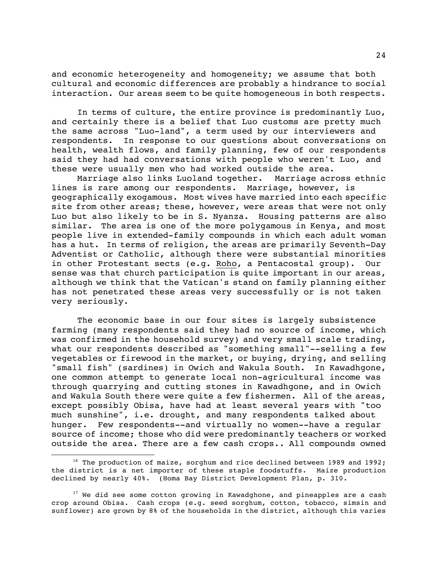and economic heterogeneity and homogeneity; we assume that both cultural and economic differences are probably a hindrance to social interaction. Our areas seem to be quite homogeneous in both respects.

In terms of culture, the entire province is predominantly Luo, and certainly there is a belief that Luo customs are pretty much the same across "Luo-land", a term used by our interviewers and respondents. In response to our questions about conversations on health, wealth flows, and family planning, few of our respondents said they had had conversations with people who weren't Luo, and these were usually men who had worked outside the area.

Marriage also links Luoland together. Marriage across ethnic lines is rare among our respondents. Marriage, however, is geographically exogamous. Most wives have married into each specific site from other areas; these, however, were areas that were not only Luo but also likely to be in S. Nyanza. Housing patterns are also similar. The area is one of the more polygamous in Kenya, and most people live in extended-family compounds in which each adult woman has a hut. In terms of religion, the areas are primarily Seventh-Day Adventist or Catholic, although there were substantial minorities in other Protestant sects (e.g. Roho, a Pentacostal group). Our sense was that church participation is quite important in our areas, although we think that the Vatican's stand on family planning either has not penetrated these areas very successfully or is not taken very seriously.

The economic base in our four sites is largely subsistence farming (many respondents said they had no source of income, which was confirmed in the household survey) and very small scale trading, what our respondents described as "something small"--selling a few vegetables or firewood in the market, or buying, drying, and selling "small fish" (sardines) in Owich and Wakula South. In Kawadhgone, one common attempt to generate local non-agricultural income was through quarrying and cutting stones in Kawadhgone, and in Owich and Wakula South there were quite a few fishermen. All of the areas, except possibly Obisa, have had at least several years with "too much sunshine", i.e. drought, and many respondents talked about hunger. Few respondents--and virtually no women--have a regular source of income; those who did were predominantly teachers or worked outside the area. There are a few cash crops.. All compounds owned

<sup>&</sup>lt;sup>16</sup> The production of maize, sorghum and rice declined between 1989 and 1992; the district is a net importer of these staple foodstuffs. Maize production declined by nearly 40%. (Homa Bay District Development Plan, p. 310.

 $17$  We did see some cotton growing in Kawadghone, and pineapples are a cash crop around Obisa. Cash crops (e.g. seed sorghum, cotton, tobacco, simsin and sunflower) are grown by 8% of the households in the district, although this varies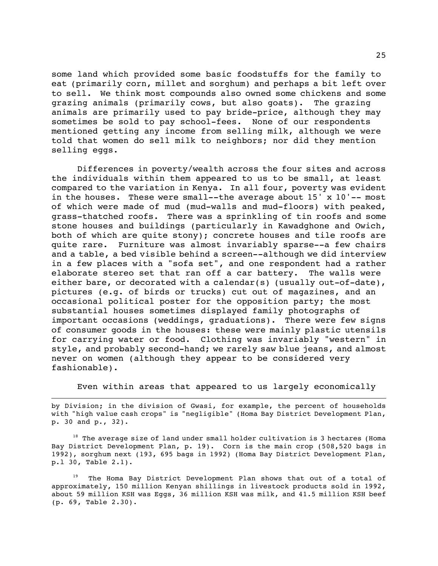some land which provided some basic foodstuffs for the family to eat (primarily corn, millet and sorghum) and perhaps a bit left over to sell. We think most compounds also owned some chickens and some grazing animals (primarily cows, but also goats). The grazing animals are primarily used to pay bride-price, although they may sometimes be sold to pay school-fees. None of our respondents mentioned getting any income from selling milk, although we were told that women do sell milk to neighbors; nor did they mention selling eggs.

Differences in poverty/wealth across the four sites and across the individuals within them appeared to us to be small, at least compared to the variation in Kenya. In all four, poverty was evident in the houses. These were small--the average about 15' x 10'-- most of which were made of mud (mud-walls and mud-floors) with peaked, grass-thatched roofs. There was a sprinkling of tin roofs and some stone houses and buildings (particularly in Kawadghone and Owich, both of which are quite stony); concrete houses and tile roofs are quite rare. Furniture was almost invariably sparse--a few chairs and a table, a bed visible behind a screen--although we did interview in a few places with a "sofa set", and one respondent had a rather elaborate stereo set that ran off a car battery. The walls were either bare, or decorated with a calendar(s) (usually out-of-date), pictures (e.g. of birds or trucks) cut out of magazines, and an occasional political poster for the opposition party; the most substantial houses sometimes displayed family photographs of important occasions (weddings, graduations). There were few signs of consumer goods in the houses: these were mainly plastic utensils for carrying water or food. Clothing was invariably "western" in style, and probably second-hand; we rarely saw blue jeans, and almost never on women (although they appear to be considered very fashionable).

Even within areas that appeared to us largely economically

by Division; in the division of Gwasi, for example, the percent of households with "high value cash crops" is "negligible" (Homa Bay District Development Plan, p. 30 and p., 32).

 $18$  The average size of land under small holder cultivation is 3 hectares (Homa Bay District Development Plan, p. 19). Corn is the main crop (508,520 bags in 1992), sorghum next (193, 695 bags in 1992) (Homa Bay District Development Plan, p.l 30, Table 2.1).

<sup>19</sup> The Homa Bay District Development Plan shows that out of a total of approximately, 150 million Kenyan shillings in livestock products sold in 1992, about 59 million KSH was Eggs, 36 million KSH was milk, and 41.5 million KSH beef (p. 69, Table 2.30).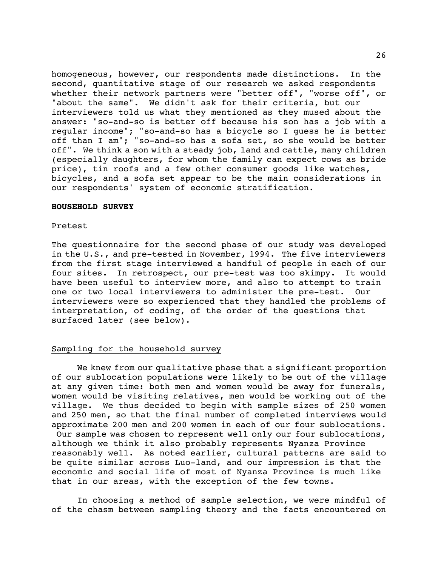homogeneous, however, our respondents made distinctions. In the second, quantitative stage of our research we asked respondents whether their network partners were "better off", "worse off", or "about the same". We didn't ask for their criteria, but our interviewers told us what they mentioned as they mused about the answer: "so-and-so is better off because his son has a job with a regular income"; "so-and-so has a bicycle so I guess he is better off than I am"; "so-and-so has a sofa set, so she would be better off". We think a son with a steady job, land and cattle, many children (especially daughters, for whom the family can expect cows as bride price), tin roofs and a few other consumer goods like watches, bicycles, and a sofa set appear to be the main considerations in our respondents' system of economic stratification.

#### **HOUSEHOLD SURVEY**

#### Pretest

The questionnaire for the second phase of our study was developed in the U.S., and pre-tested in November, 1994. The five interviewers from the first stage interviewed a handful of people in each of our four sites. In retrospect, our pre-test was too skimpy. It would have been useful to interview more, and also to attempt to train one or two local interviewers to administer the pre-test. Our interviewers were so experienced that they handled the problems of interpretation, of coding, of the order of the questions that surfaced later (see below).

# Sampling for the household survey

We knew from our qualitative phase that a significant proportion of our sublocation populations were likely to be out of the village at any given time: both men and women would be away for funerals, women would be visiting relatives, men would be working out of the village. We thus decided to begin with sample sizes of 250 women and 250 men, so that the final number of completed interviews would approximate 200 men and 200 women in each of our four sublocations. Our sample was chosen to represent well only our four sublocations, although we think it also probably represents Nyanza Province reasonably well. As noted earlier, cultural patterns are said to be quite similar across Luo-land, and our impression is that the economic and social life of most of Nyanza Province is much like that in our areas, with the exception of the few towns.

In choosing a method of sample selection, we were mindful of of the chasm between sampling theory and the facts encountered on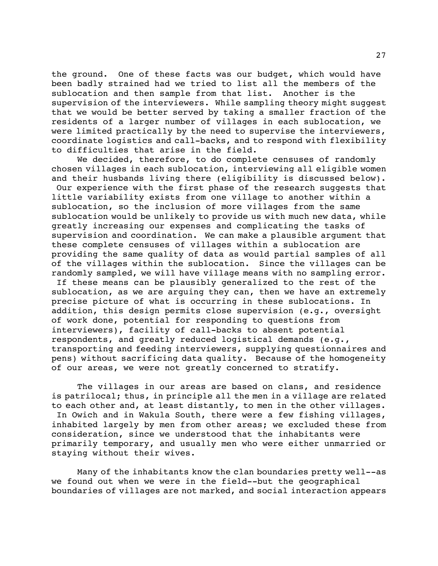the ground. One of these facts was our budget, which would have been badly strained had we tried to list all the members of the sublocation and then sample from that list. Another is the supervision of the interviewers. While sampling theory might suggest that we would be better served by taking a smaller fraction of the residents of a larger number of villages in each sublocation, we were limited practically by the need to supervise the interviewers, coordinate logistics and call-backs, and to respond with flexibility to difficulties that arise in the field.

We decided, therefore, to do complete censuses of randomly chosen villages in each sublocation, interviewing all eligible women and their husbands living there (eligibility is discussed below). Our experience with the first phase of the research suggests that little variability exists from one village to another within a sublocation, so the inclusion of more villages from the same sublocation would be unlikely to provide us with much new data, while greatly increasing our expenses and complicating the tasks of supervision and coordination. We can make a plausible argument that these complete censuses of villages within a sublocation are providing the same quality of data as would partial samples of all of the villages within the sublocation. Since the villages can be randomly sampled, we will have village means with no sampling error. If these means can be plausibly generalized to the rest of the sublocation, as we are arguing they can, then we have an extremely

precise picture of what is occurring in these sublocations. In addition, this design permits close supervision (e.g., oversight of work done, potential for responding to questions from interviewers), facility of call-backs to absent potential respondents, and greatly reduced logistical demands (e.g., transporting and feeding interviewers, supplying questionnaires and pens) without sacrificing data quality. Because of the homogeneity of our areas, we were not greatly concerned to stratify.

The villages in our areas are based on clans, and residence is patrilocal; thus, in principle all the men in a village are related to each other and, at least distantly, to men in the other villages. In Owich and in Wakula South, there were a few fishing villages, inhabited largely by men from other areas; we excluded these from consideration, since we understood that the inhabitants were primarily temporary, and usually men who were either unmarried or staying without their wives.

Many of the inhabitants know the clan boundaries pretty well--as we found out when we were in the field--but the geographical boundaries of villages are not marked, and social interaction appears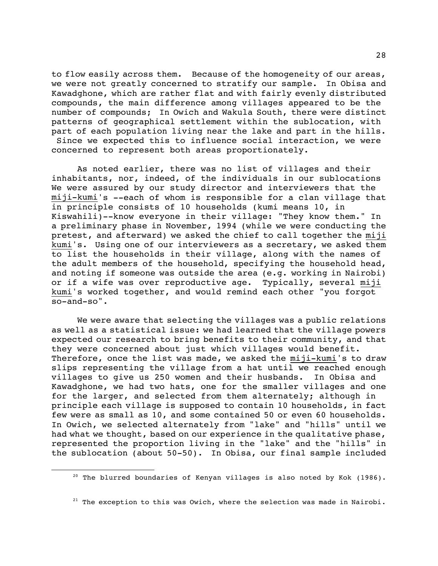to flow easily across them. Because of the homogeneity of our areas, we were not greatly concerned to stratify our sample. In Obisa and Kawadghone, which are rather flat and with fairly evenly distributed compounds, the main difference among villages appeared to be the number of compounds; In Owich and Wakula South, there were distinct patterns of geographical settlement within the sublocation, with part of each population living near the lake and part in the hills. Since we expected this to influence social interaction, we were concerned to represent both areas proportionately.

As noted earlier, there was no list of villages and their inhabitants, nor, indeed, of the individuals in our sublocations We were assured by our study director and interviewers that the miji-kumi's --each of whom is responsible for a clan village that in principle consists of 10 households (kumi means 10, in Kiswahili)--know everyone in their village: "They know them." In a preliminary phase in November, 1994 (while we were conducting the pretest, and afterward) we asked the chief to call together the miji kumi's. Using one of our interviewers as a secretary, we asked them to list the households in their village, along with the names of the adult members of the household, specifying the household head, and noting if someone was outside the area (e.g. working in Nairobi) or if a wife was over reproductive age. Typically, several miji kumi's worked together, and would remind each other "you forgot so-and-so".

We were aware that selecting the villages was a public relations as well as a statistical issue: we had learned that the village powers expected our research to bring benefits to their community, and that they were concerned about just which villages would benefit. Therefore, once the list was made, we asked the miji-kumi's to draw slips representing the village from a hat until we reached enough villages to give us 250 women and their husbands. In Obisa and Kawadghone, we had two hats, one for the smaller villages and one for the larger, and selected from them alternately; although in principle each village is supposed to contain 10 households, in fact few were as small as 10, and some contained 50 or even 60 households. In Owich, we selected alternately from "lake" and "hills" until we had what we thought, based on our experience in the qualitative phase, represented the proportion living in the "lake" and the "hills" in the sublocation (about 50-50). In Obisa, our final sample included

÷,

<sup>&</sup>lt;sup>20</sup> The blurred boundaries of Kenyan villages is also noted by Kok (1986).

 $21$  The exception to this was Owich, where the selection was made in Nairobi.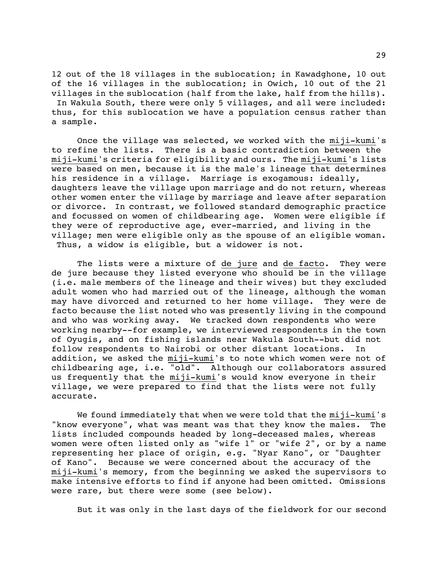12 out of the 18 villages in the sublocation; in Kawadghone, 10 out of the 16 villages in the sublocation; in Owich, 10 out of the 21 villages in the sublocation (half from the lake, half from the hills).

 In Wakula South, there were only 5 villages, and all were included: thus, for this sublocation we have a population census rather than a sample.

Once the village was selected, we worked with the miji-kumi's to refine the lists. There is a basic contradiction between the miji-kumi's criteria for eligibility and ours. The miji-kumi's lists were based on men, because it is the male's lineage that determines his residence in a village. Marriage is exogamous: ideally, daughters leave the village upon marriage and do not return, whereas other women enter the village by marriage and leave after separation or divorce. In contrast, we followed standard demographic practice and focussed on women of childbearing age. Women were eligible if they were of reproductive age, ever-married, and living in the village; men were eligible only as the spouse of an eligible woman. Thus, a widow is eligible, but a widower is not.

The lists were a mixture of de jure and de facto. They were de jure because they listed everyone who should be in the village (i.e. male members of the lineage and their wives) but they excluded adult women who had married out of the lineage, although the woman may have divorced and returned to her home village. They were de facto because the list noted who was presently living in the compound and who was working away. We tracked down respondents who were working nearby--for example, we interviewed respondents in the town of Oyugis, and on fishing islands near Wakula South--but did not follow respondents to Nairobi or other distant locations. In addition, we asked the miji-kumi's to note which women were not of childbearing age, i.e. "old". Although our collaborators assured us frequently that the miji-kumi's would know everyone in their village, we were prepared to find that the lists were not fully accurate.

We found immediately that when we were told that the miji-kumi's "know everyone", what was meant was that they know the males. The lists included compounds headed by long-deceased males, whereas women were often listed only as "wife 1" or "wife 2", or by a name representing her place of origin, e.g. "Nyar Kano", or "Daughter of Kano". Because we were concerned about the accuracy of the miji-kumi's memory, from the beginning we asked the supervisors to make intensive efforts to find if anyone had been omitted. Omissions were rare, but there were some (see below).

But it was only in the last days of the fieldwork for our second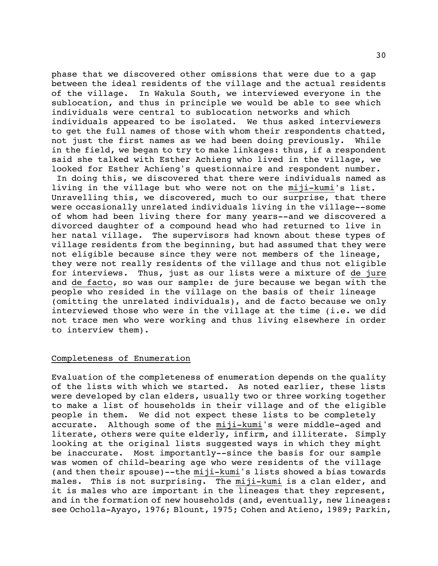phase that we discovered other omissions that were due to a gap between the ideal residents of the village and the actual residents of the village. In Wakula South, we interviewed everyone in the sublocation, and thus in principle we would be able to see which individuals were central to sublocation networks and which individuals appeared to be isolated. We thus asked interviewers to get the full names of those with whom their respondents chatted, not just the first names as we had been doing previously. While in the field, we began to try to make linkages: thus, if a respondent said she talked with Esther Achieng who lived in the village, we looked for Esther Achieng's questionnaire and respondent number.

 In doing this, we discovered that there were individuals named as living in the village but who were not on the miji-kumi's list. Unravelling this, we discovered, much to our surprise, that there were occasionally unrelated individuals living in the village--some of whom had been living there for many years--and we discovered a divorced daughter of a compound head who had returned to live in her natal village. The supervisors had known about these types of village residents from the beginning, but had assumed that they were not eligible because since they were not members of the lineage, they were not really residents of the village and thus not eligible for interviews. Thus, just as our lists were a mixture of de jure and de facto, so was our sample: de jure because we began with the people who resided in the village on the basis of their lineage (omitting the unrelated individuals), and de facto because we only interviewed those who were in the village at the time (i.e. we did not trace men who were working and thus living elsewhere in order to interview them).

# Completeness of Enumeration

Evaluation of the completeness of enumeration depends on the quality of the lists with which we started. As noted earlier, these lists were developed by clan elders, usually two or three working together to make a list of households in their village and of the eligible people in them. We did not expect these lists to be completely accurate. Although some of the miji-kumi's were middle-aged and literate, others were quite elderly, infirm, and illiterate. Simply looking at the original lists suggested ways in which they might be inaccurate. Most importantly--since the basis for our sample was women of child-bearing age who were residents of the village (and then their spouse)--the miji-kumi's lists showed a bias towards males. This is not surprising. The miji-kumi is a clan elder, and it is males who are important in the lineages that they represent, and in the formation of new households (and, eventually, new lineages: see Ocholla-Ayayo, 1976; Blount, 1975; Cohen and Atieno, 1989; Parkin,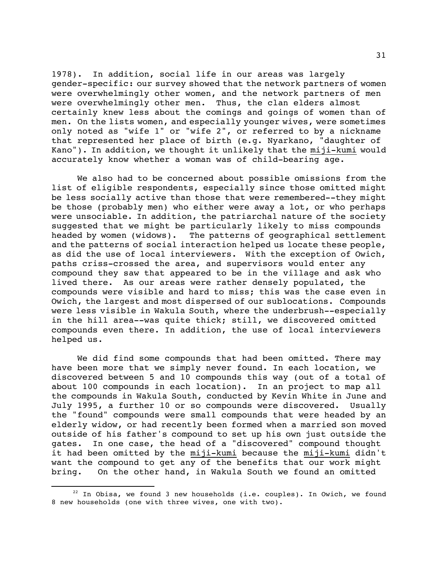1978). In addition, social life in our areas was largely gender-specific: our survey showed that the network partners of women were overwhelmingly other women, and the network partners of men were overwhelmingly other men. Thus, the clan elders almost certainly knew less about the comings and goings of women than of men. On the lists women, and especially younger wives, were sometimes only noted as "wife 1" or "wife 2", or referred to by a nickname that represented her place of birth (e.g. Nyarkano, "daughter of Kano"). In addition, we thought it unlikely that the miji-kumi would accurately know whether a woman was of child-bearing age.

We also had to be concerned about possible omissions from the list of eligible respondents, especially since those omitted might be less socially active than those that were remembered--they might be those (probably men) who either were away a lot, or who perhaps were unsociable. In addition, the patriarchal nature of the society suggested that we might be particularly likely to miss compounds headed by women (widows). The patterns of geographical settlement and the patterns of social interaction helped us locate these people, as did the use of local interviewers. With the exception of Owich, paths criss-crossed the area, and supervisors would enter any compound they saw that appeared to be in the village and ask who lived there. As our areas were rather densely populated, the compounds were visible and hard to miss; this was the case even in Owich, the largest and most dispersed of our sublocations. Compounds were less visible in Wakula South, where the underbrush--especially in the hill area--was quite thick; still, we discovered omitted compounds even there. In addition, the use of local interviewers helped us.

We did find some compounds that had been omitted. There may have been more that we simply never found. In each location, we discovered between 5 and 10 compounds this way (out of a total of about 100 compounds in each location). In an project to map all the compounds in Wakula South, conducted by Kevin White in June and July 1995, a further 10 or so compounds were discovered. Usually the "found" compounds were small compounds that were headed by an elderly widow, or had recently been formed when a married son moved outside of his father's compound to set up his own just outside the gates. In one case, the head of a "discovered" compound thought it had been omitted by the miji-kumi because the miji-kumi didn't want the compound to get any of the benefits that our work might bring. On the other hand, in Wakula South we found an omitted

 $22$  In Obisa, we found 3 new households (i.e. couples). In Owich, we found 8 new households (one with three wives, one with two).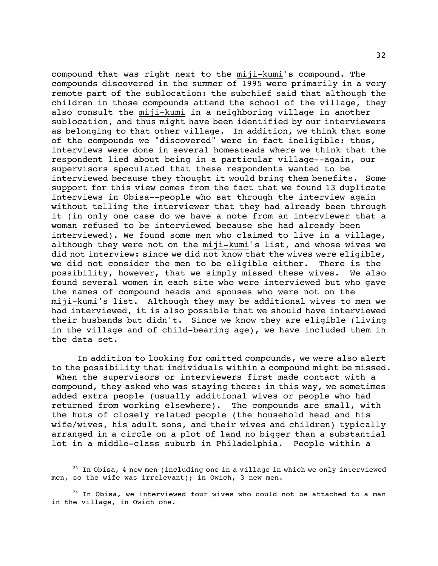compound that was right next to the miji-kumi's compound. The compounds discovered in the summer of 1995 were primarily in a very remote part of the sublocation: the subchief said that although the children in those compounds attend the school of the village, they also consult the miji-kumi in a neighboring village in another sublocation, and thus might have been identified by our interviewers as belonging to that other village. In addition, we think that some of the compounds we "discovered" were in fact ineligible: thus, interviews were done in several homesteads where we think that the respondent lied about being in a particular village--again, our supervisors speculated that these respondents wanted to be interviewed because they thought it would bring them benefits. Some support for this view comes from the fact that we found 13 duplicate interviews in Obisa--people who sat through the interview again without telling the interviewer that they had already been through it (in only one case do we have a note from an interviewer that a woman refused to be interviewed because she had already been interviewed). We found some men who claimed to live in a village, although they were not on the miji-kumi's list, and whose wives we did not interview: since we did not know that the wives were eligible, we did not consider the men to be eligible either. There is the possibility, however, that we simply missed these wives. We also found several women in each site who were interviewed but who gave the names of compound heads and spouses who were not on the miji-kumi's list. Although they may be additional wives to men we had interviewed, it is also possible that we should have interviewed their husbands but didn't. Since we know they are eligible (living in the village and of child-bearing age), we have included them in the data set.

In addition to looking for omitted compounds, we were also alert to the possibility that individuals within a compound might be missed. When the supervisors or interviewers first made contact with a compound, they asked who was staying there: in this way, we sometimes added extra people (usually additional wives or people who had returned from working elsewhere). The compounds are small, with the huts of closely related people (the household head and his wife/wives, his adult sons, and their wives and children) typically arranged in a circle on a plot of land no bigger than a substantial lot in a middle-class suburb in Philadelphia. People within a

 $23$  In Obisa, 4 new men (including one in a village in which we only interviewed men, so the wife was irrelevant); in Owich, 3 new men.

 $24$  In Obisa, we interviewed four wives who could not be attached to a man in the village, in Owich one.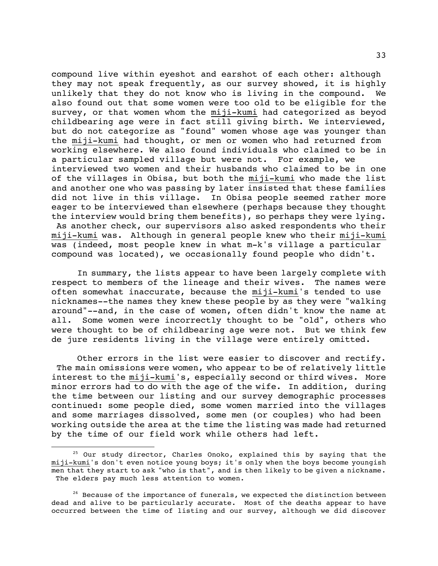compound live within eyeshot and earshot of each other: although they may not speak frequently, as our survey showed, it is highly unlikely that they do not know who is living in the compound. We also found out that some women were too old to be eligible for the survey, or that women whom the miji-kumi had categorized as beyod childbearing age were in fact still giving birth. We interviewed, but do not categorize as "found" women whose age was younger than the miji-kumi had thought, or men or women who had returned from working elsewhere. We also found individuals who claimed to be in a particular sampled village but were not. For example, we interviewed two women and their husbands who claimed to be in one of the villages in Obisa, but both the miji-kumi who made the list and another one who was passing by later insisted that these families did not live in this village. In Obisa people seemed rather more eager to be interviewed than elsewhere (perhaps because they thought the interview would bring them benefits), so perhaps they were lying. As another check, our supervisors also asked respondents who their miji-kumi was. Although in general people knew who their miji-kumi was (indeed, most people knew in what m-k's village a particular compound was located), we occasionally found people who didn't.

In summary, the lists appear to have been largely complete with respect to members of the lineage and their wives. The names were often somewhat inaccurate, because the miji-kumi's tended to use nicknames--the names they knew these people by as they were "walking around"--and, in the case of women, often didn't know the name at all. Some women were incorrectly thought to be "old", others who were thought to be of childbearing age were not. But we think few de jure residents living in the village were entirely omitted.

Other errors in the list were easier to discover and rectify. The main omissions were women, who appear to be of relatively little interest to the miji-kumi's, especially second or third wives. More minor errors had to do with the age of the wife. In addition, during the time between our listing and our survey demographic processes continued: some people died, some women married into the villages and some marriages dissolved, some men (or couples) who had been working outside the area at the time the listing was made had returned by the time of our field work while others had left.

÷,

 $25$  Our study director, Charles Onoko, explained this by saying that the miji-kumi's don't even notice young boys; it's only when the boys become youngish men that they start to ask "who is that", and is then likely to be given a nickname. The elders pay much less attention to women.

 $26$  Because of the importance of funerals, we expected the distinction between dead and alive to be particularly accurate. Most of the deaths appear to have occurred between the time of listing and our survey, although we did discover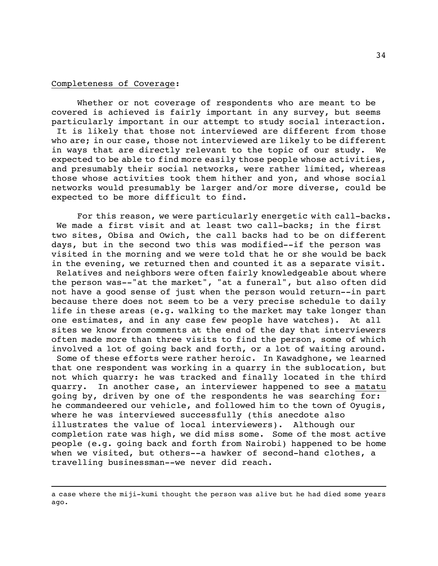#### Completeness of Coverage:

Whether or not coverage of respondents who are meant to be covered is achieved is fairly important in any survey, but seems particularly important in our attempt to study social interaction. It is likely that those not interviewed are different from those who are; in our case, those not interviewed are likely to be different in ways that are directly relevant to the topic of our study. We expected to be able to find more easily those people whose activities, and presumably their social networks, were rather limited, whereas those whose activities took them hither and yon, and whose social networks would presumably be larger and/or more diverse, could be expected to be more difficult to find.

For this reason, we were particularly energetic with call-backs. We made a first visit and at least two call-backs; in the first two sites, Obisa and Owich, the call backs had to be on different days, but in the second two this was modified--if the person was visited in the morning and we were told that he or she would be back in the evening, we returned then and counted it as a separate visit. Relatives and neighbors were often fairly knowledgeable about where the person was--"at the market", "at a funeral", but also often did not have a good sense of just when the person would return--in part because there does not seem to be a very precise schedule to daily life in these areas (e.g. walking to the market may take longer than one estimates, and in any case few people have watches). At all sites we know from comments at the end of the day that interviewers often made more than three visits to find the person, some of which involved a lot of going back and forth, or a lot of waiting around.

 Some of these efforts were rather heroic. In Kawadghone, we learned that one respondent was working in a quarry in the sublocation, but not which quarry: he was tracked and finally located in the third quarry. In another case, an interviewer happened to see a matatu going by, driven by one of the respondents he was searching for: he commandeered our vehicle, and followed him to the town of Oyugis, where he was interviewed successfully (this anecdote also illustrates the value of local interviewers). Although our completion rate was high, we did miss some. Some of the most active people (e.g. going back and forth from Nairobi) happened to be home when we visited, but others--a hawker of second-hand clothes, a travelling businessman--we never did reach.

a case where the miji-kumi thought the person was alive but he had died some years ago.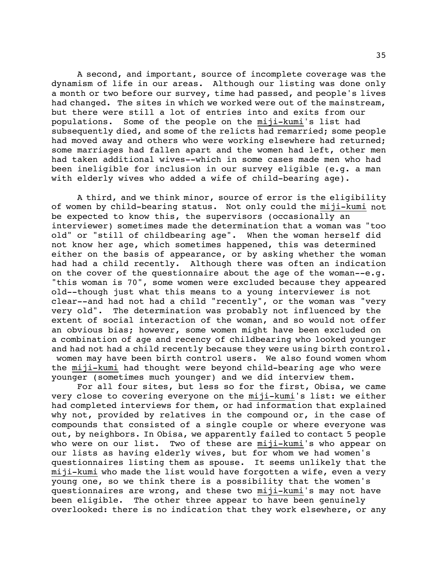A second, and important, source of incomplete coverage was the dynamism of life in our areas. Although our listing was done only a month or two before our survey, time had passed, and people's lives had changed. The sites in which we worked were out of the mainstream, but there were still a lot of entries into and exits from our populations. Some of the people on the miji-kumi's list had subsequently died, and some of the relicts had remarried; some people had moved away and others who were working elsewhere had returned; some marriages had fallen apart and the women had left, other men had taken additional wives--which in some cases made men who had been ineligible for inclusion in our survey eligible (e.g. a man with elderly wives who added a wife of child-bearing age).

A third, and we think minor, source of error is the eligibility of women by child-bearing status. Not only could the miji-kumi not be expected to know this, the supervisors (occasionally an interviewer) sometimes made the determination that a woman was "too old" or "still of childbearing age". When the woman herself did not know her age, which sometimes happened, this was determined either on the basis of appearance, or by asking whether the woman had had a child recently. Although there was often an indication on the cover of the questionnaire about the age of the woman- $-e.q.$ "this woman is 70", some women were excluded because they appeared old--though just what this means to a young interviewer is not clear--and had not had a child "recently", or the woman was "very very old". The determination was probably not influenced by the extent of social interaction of the woman, and so would not offer an obvious bias; however, some women might have been excluded on a combination of age and recency of childbearing who looked younger and had not had a child recently because they were using birth control. women may have been birth control users. We also found women whom the miji-kumi had thought were beyond child-bearing age who were younger (sometimes much younger) and we did interview them.

For all four sites, but less so for the first, Obisa, we came very close to covering everyone on the miji-kumi's list: we either had completed interviews for them, or had information that explained why not, provided by relatives in the compound or, in the case of compounds that consisted of a single couple or where everyone was out, by neighbors. In Obisa, we apparently failed to contact 5 people who were on our list. Two of these are miji-kumi's who appear on our lists as having elderly wives, but for whom we had women's questionnaires listing them as spouse. It seems unlikely that the miji-kumi who made the list would have forgotten a wife, even a very young one, so we think there is a possibility that the women's questionnaires are wrong, and these two miji-kumi's may not have been eligible. The other three appear to have been genuinely overlooked: there is no indication that they work elsewhere, or any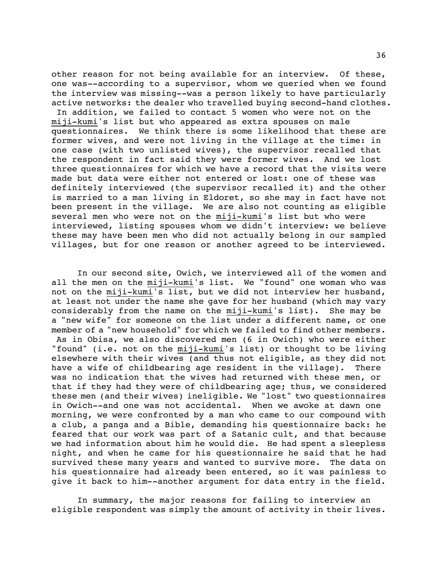other reason for not being available for an interview. Of these, one was--according to a supervisor, whom we queried when we found the interview was missing--was a person likely to have particularly active networks: the dealer who travelled buying second-hand clothes.

 In addition, we failed to contact 5 women who were not on the miji-kumi's list but who appeared as extra spouses on male questionnaires. We think there is some likelihood that these are former wives, and were not living in the village at the time: in one case (with two unlisted wives), the supervisor recalled that the respondent in fact said they were former wives. And we lost three questionnaires for which we have a record that the visits were made but data were either not entered or lost: one of these was definitely interviewed (the supervisor recalled it) and the other is married to a man living in Eldoret, so she may in fact have not been present in the village. We are also not counting as eligible several men who were not on the miji-kumi's list but who were interviewed, listing spouses whom we didn't interview: we believe these may have been men who did not actually belong in our sampled villages, but for one reason or another agreed to be interviewed.

In our second site, Owich, we interviewed all of the women and all the men on the miji-kumi's list. We "found" one woman who was not on the miji-kumi's list, but we did not interview her husband, at least not under the name she gave for her husband (which may vary considerably from the name on the miji-kumi's list). She may be a "new wife" for someone on the list under a different name, or one member of a "new household" for which we failed to find other members. As in Obisa, we also discovered men (6 in Owich) who were either "found" (i.e. not on the miji-kumi's list) or thought to be living elsewhere with their wives (and thus not eligible, as they did not have a wife of childbearing age resident in the village). There was no indication that the wives had returned with these men, or that if they had they were of childbearing age; thus, we considered these men (and their wives) ineligible. We "lost" two questionnaires in Owich--and one was not accidental. When we awoke at dawn one morning, we were confronted by a man who came to our compound with a club, a panga and a Bible, demanding his questionnaire back: he feared that our work was part of a Satanic cult, and that because we had information about him he would die. He had spent a sleepless night, and when he came for his questionnaire he said that he had survived these many years and wanted to survive more. The data on his questionnaire had already been entered, so it was painless to give it back to him--another argument for data entry in the field.

In summary, the major reasons for failing to interview an eligible respondent was simply the amount of activity in their lives.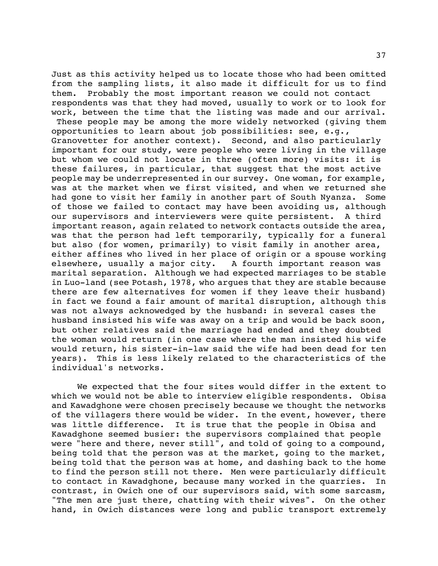Just as this activity helped us to locate those who had been omitted from the sampling lists, it also made it difficult for us to find them. Probably the most important reason we could not contact respondents was that they had moved, usually to work or to look for work, between the time that the listing was made and our arrival.

 These people may be among the more widely networked (giving them opportunities to learn about job possibilities: see, e.g., Granovetter for another context). Second, and also particularly important for our study, were people who were living in the village but whom we could not locate in three (often more) visits: it is these failures, in particular, that suggest that the most active people may be underrepresented in our survey. One woman, for example, was at the market when we first visited, and when we returned she had gone to visit her family in another part of South Nyanza. Some of those we failed to contact may have been avoiding us, although our supervisors and interviewers were quite persistent. A third important reason, again related to network contacts outside the area, was that the person had left temporarily, typically for a funeral but also (for women, primarily) to visit family in another area, either affines who lived in her place of origin or a spouse working elsewhere, usually a major city. A fourth important reason was marital separation. Although we had expected marriages to be stable in Luo-land (see Potash, 1978, who argues that they are stable because there are few alternatives for women if they leave their husband) in fact we found a fair amount of marital disruption, although this was not always acknowedged by the husband: in several cases the husband insisted his wife was away on a trip and would be back soon, but other relatives said the marriage had ended and they doubted the woman would return (in one case where the man insisted his wife would return, his sister-in-law said the wife had been dead for ten years). This is less likely related to the characteristics of the individual's networks.

We expected that the four sites would differ in the extent to which we would not be able to interview eligible respondents. Obisa and Kawadghone were chosen precisely because we thought the networks of the villagers there would be wider. In the event, however, there was little difference. It is true that the people in Obisa and Kawadghone seemed busier: the supervisors complained that people were "here and there, never still", and told of going to a compound, being told that the person was at the market, going to the market, being told that the person was at home, and dashing back to the home to find the person still not there. Men were particularly difficult to contact in Kawadghone, because many worked in the quarries. In contrast, in Owich one of our supervisors said, with some sarcasm, "The men are just there, chatting with their wives". On the other hand, in Owich distances were long and public transport extremely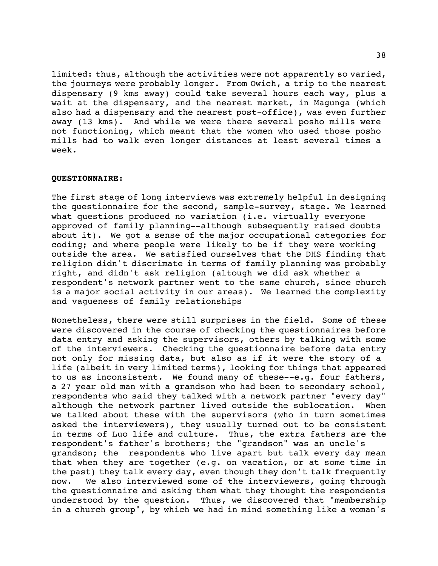limited: thus, although the activities were not apparently so varied, the journeys were probably longer. From Owich, a trip to the nearest dispensary (9 kms away) could take several hours each way, plus a wait at the dispensary, and the nearest market, in Magunga (which also had a dispensary and the nearest post-office), was even further away (13 kms). And while we were there several posho mills were not functioning, which meant that the women who used those posho mills had to walk even longer distances at least several times a week.

# **QUESTIONNAIRE**:

The first stage of long interviews was extremely helpful in designing the questionnaire for the second, sample-survey, stage. We learned what questions produced no variation (i.e. virtually everyone approved of family planning--although subsequently raised doubts about it). We got a sense of the major occupational categories for coding; and where people were likely to be if they were working outside the area. We satisfied ourselves that the DHS finding that religion didn't discrimate in terms of family planning was probably right, and didn't ask religion (altough we did ask whether a respondent's network partner went to the same church, since church is a major social activity in our areas). We learned the complexity and vagueness of family relationships

Nonetheless, there were still surprises in the field. Some of these were discovered in the course of checking the questionnaires before data entry and asking the supervisors, others by talking with some of the interviewers. Checking the questionnaire before data entry not only for missing data, but also as if it were the story of a life (albeit in very limited terms), looking for things that appeared to us as inconsistent. We found many of these--e.g. four fathers, a 27 year old man with a grandson who had been to secondary school, respondents who said they talked with a network partner "every day" although the network partner lived outside the sublocation. When we talked about these with the supervisors (who in turn sometimes asked the interviewers), they usually turned out to be consistent in terms of Luo life and culture. Thus, the extra fathers are the respondent's father's brothers; the "grandson" was an uncle's grandson; the respondents who live apart but talk every day mean that when they are together (e.g. on vacation, or at some time in the past) they talk every day, even though they don't talk frequently now. We also interviewed some of the interviewers, going through the questionnaire and asking them what they thought the respondents understood by the question. Thus, we discovered that "membership in a church group", by which we had in mind something like a woman's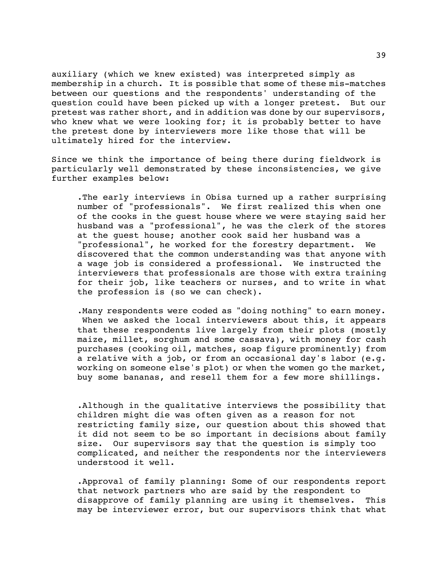auxiliary (which we knew existed) was interpreted simply as membership in a church. It is possible that some of these mis-matches between our questions and the respondents' understanding of the question could have been picked up with a longer pretest. But our pretest was rather short, and in addition was done by our supervisors, who knew what we were looking for; it is probably better to have the pretest done by interviewers more like those that will be ultimately hired for the interview.

Since we think the importance of being there during fieldwork is particularly well demonstrated by these inconsistencies, we give further examples below:

.The early interviews in Obisa turned up a rather surprising number of "professionals". We first realized this when one of the cooks in the guest house where we were staying said her husband was a "professional", he was the clerk of the stores at the guest house; another cook said her husband was a "professional", he worked for the forestry department. We discovered that the common understanding was that anyone with a wage job is considered a professional. We instructed the interviewers that professionals are those with extra training for their job, like teachers or nurses, and to write in what the profession is (so we can check).

.Many respondents were coded as "doing nothing" to earn money. When we asked the local interviewers about this, it appears that these respondents live largely from their plots (mostly maize, millet, sorghum and some cassava), with money for cash purchases (cooking oil, matches, soap figure prominently) from a relative with a job, or from an occasional day's labor (e.g. working on someone else's plot) or when the women go the market, buy some bananas, and resell them for a few more shillings.

.Although in the qualitative interviews the possibility that children might die was often given as a reason for not restricting family size, our question about this showed that it did not seem to be so important in decisions about family size. Our supervisors say that the question is simply too complicated, and neither the respondents nor the interviewers understood it well.

.Approval of family planning: Some of our respondents report that network partners who are said by the respondent to disapprove of family planning are using it themselves. This may be interviewer error, but our supervisors think that what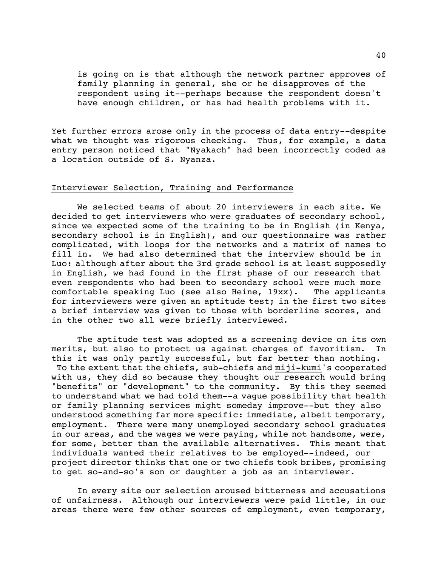is going on is that although the network partner approves of family planning in general, she or he disapproves of the respondent using it--perhaps because the respondent doesn't have enough children, or has had health problems with it.

Yet further errors arose only in the process of data entry--despite what we thought was rigorous checking. Thus, for example, a data entry person noticed that "Nyakach" had been incorrectly coded as a location outside of S. Nyanza.

# Interviewer Selection, Training and Performance

We selected teams of about 20 interviewers in each site. We decided to get interviewers who were graduates of secondary school, since we expected some of the training to be in English (in Kenya, secondary school is in English), and our questionnaire was rather complicated, with loops for the networks and a matrix of names to fill in. We had also determined that the interview should be in Luo: although after about the 3rd grade school is at least supposedly in English, we had found in the first phase of our research that even respondents who had been to secondary school were much more comfortable speaking Luo (see also Heine, 19xx). The applicants for interviewers were given an aptitude test; in the first two sites a brief interview was given to those with borderline scores, and in the other two all were briefly interviewed.

The aptitude test was adopted as a screening device on its own merits, but also to protect us against charges of favoritism. In this it was only partly successful, but far better than nothing. To the extent that the chiefs, sub-chiefs and miji-kumi's cooperated with us, they did so because they thought our research would bring "benefits" or "development" to the community. By this they seemed to understand what we had told them--a vague possibility that health or family planning services might someday improve--but they also understood something far more specific: immediate, albeit temporary, employment. There were many unemployed secondary school graduates in our areas, and the wages we were paying, while not handsome, were, for some, better than the available alternatives. This meant that individuals wanted their relatives to be employed--indeed, our project director thinks that one or two chiefs took bribes, promising to get so-and-so's son or daughter a job as an interviewer.

In every site our selection aroused bitterness and accusations of unfairness. Although our interviewers were paid little, in our areas there were few other sources of employment, even temporary,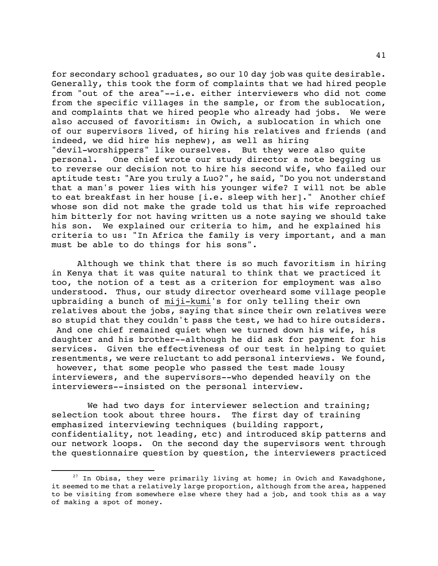for secondary school graduates, so our 10 day job was quite desirable. Generally, this took the form of complaints that we had hired people from "out of the area"--i.e. either interviewers who did not come from the specific villages in the sample, or from the sublocation, and complaints that we hired people who already had jobs. We were also accused of favoritism: in Owich, a sublocation in which one of our supervisors lived, of hiring his relatives and friends (and indeed, we did hire his nephew), as well as hiring "devil-worshippers" like ourselves. But they were also quite personal. One chief wrote our study director a note begging us to reverse our decision not to hire his second wife, who failed our aptitude test: "Are you truly a Luo?", he said, "Do you not understand that a man's power lies with his younger wife? I will not be able to eat breakfast in her house [i.e. sleep with her]." Another chief whose son did not make the grade told us that his wife reproached him bitterly for not having written us a note saying we should take his son. We explained our criteria to him, and he explained his criteria to us: "In Africa the family is very important, and a man must be able to do things for his sons".

Although we think that there is so much favoritism in hiring in Kenya that it was quite natural to think that we practiced it too, the notion of a test as a criterion for employment was also understood. Thus, our study director overheard some village people upbraiding a bunch of miji-kumi's for only telling their own relatives about the jobs, saying that since their own relatives were so stupid that they couldn't pass the test, we had to hire outsiders. And one chief remained quiet when we turned down his wife, his daughter and his brother--although he did ask for payment for his services. Given the effectiveness of our test in helping to quiet resentments, we were reluctant to add personal interviews. We found, however, that some people who passed the test made lousy interviewers, and the supervisors--who depended heavily on the interviewers--insisted on the personal interview.

We had two days for interviewer selection and training; selection took about three hours. The first day of training emphasized interviewing techniques (building rapport, confidentiality, not leading, etc) and introduced skip patterns and our network loops. On the second day the supervisors went through the questionnaire question by question, the interviewers practiced

 $27$  In Obisa, they were primarily living at home; in Owich and Kawadghone, it seemed to me that a relatively large proportion, although from the area, happened to be visiting from somewhere else where they had a job, and took this as a way of making a spot of money.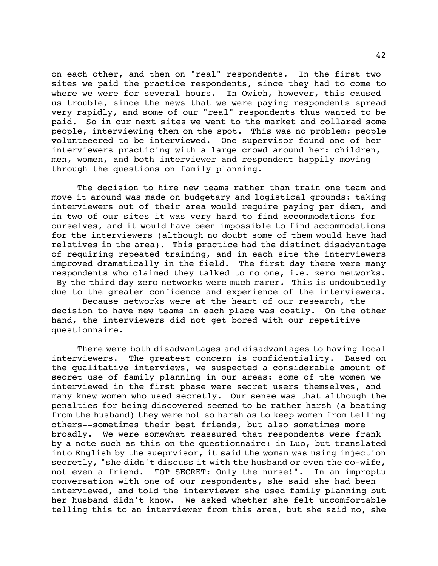on each other, and then on "real" respondents. In the first two sites we paid the practice respondents, since they had to come to where we were for several hours. In Owich, however, this caused us trouble, since the news that we were paying respondents spread very rapidly, and some of our "real" respondents thus wanted to be paid. So in our next sites we went to the market and collared some people, interviewing them on the spot. This was no problem: people volunteeered to be interviewed. One supervisor found one of her interviewers practicing with a large crowd around her: children, men, women, and both interviewer and respondent happily moving through the questions on family planning.

The decision to hire new teams rather than train one team and move it around was made on budgetary and logistical grounds: taking interviewers out of their area would require paying per diem, and in two of our sites it was very hard to find accommodations for ourselves, and it would have been impossible to find accommodations for the interviewers (although no doubt some of them would have had relatives in the area). This practice had the distinct disadvantage of requiring repeated training, and in each site the interviewers improved dramatically in the field. The first day there were many respondents who claimed they talked to no one, i.e. zero networks. By the third day zero networks were much rarer. This is undoubtedly due to the greater confidence and experience of the interviewers.

 Because networks were at the heart of our research, the decision to have new teams in each place was costly. On the other hand, the interviewers did not get bored with our repetitive questionnaire.

There were both disadvantages and disadvantages to having local interviewers. The greatest concern is confidentiality. Based on the qualitative interviews, we suspected a considerable amount of secret use of family planning in our areas: some of the women we interviewed in the first phase were secret users themselves, and many knew women who used secretly. Our sense was that although the penalties for being discovered seemed to be rather harsh (a beating from the husband) they were not so harsh as to keep women from telling others--sometimes their best friends, but also sometimes more broadly. We were somewhat reassured that respondents were frank by a note such as this on the questionnaire: in Luo, but translated into English by the sueprvisor, it said the woman was using injection secretly, "she didn't discuss it with the husband or even the co-wife, not even a friend. TOP SECRET: Only the nurse!". In an improptu conversation with one of our respondents, she said she had been interviewed, and told the interviewer she used family planning but her husband didn't know. We asked whether she felt uncomfortable telling this to an interviewer from this area, but she said no, she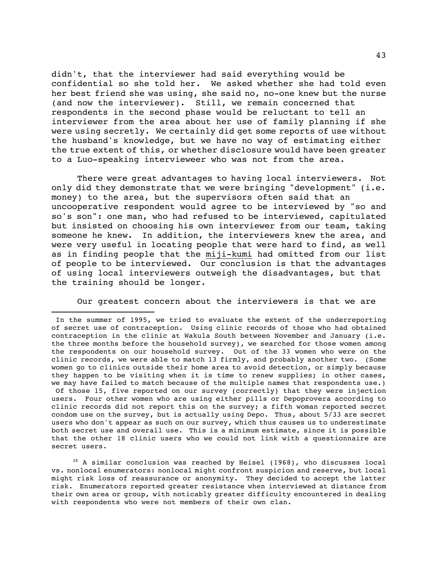didn't, that the interviewer had said everything would be confidential so she told her. We asked whether she had told even her best friend she was using, she said no, no-one knew but the nurse (and now the interviewer). Still, we remain concerned that respondents in the second phase would be reluctant to tell an interviewer from the area about her use of family planning if she were using secretly. We certainly did get some reports of use without the husband's knowledge, but we have no way of estimating either the true extent of this, or whether disclosure would have been greater to a Luo-speaking intervieweer who was not from the area.

There were great advantages to having local interviewers. Not only did they demonstrate that we were bringing "development" (i.e. money) to the area, but the supervisors often said that an uncooperative respondent would agree to be interviewed by "so and so's son": one man, who had refused to be interviewed, capitulated but insisted on choosing his own interviewer from our team, taking someone he knew. In addition, the interviewers knew the area, and were very useful in locating people that were hard to find, as well as in finding people that the miji-kumi had omitted from our list of people to be interviewed. Our conclusion is that the advantages of using local interviewers outweigh the disadvantages, but that the training should be longer.

Our greatest concern about the interviewers is that we are

i

 $28$  A similar conclusion was reached by Heisel (1968), who discusses local vs. nonlocal enumerators: nonlocal might confront suspicion and reserve, but local might risk loss of reassurance or anonymity. They decided to accept the latter risk. Enumerators reported greater resistance when interviewed at distance from their own area or group, with noticably greater difficulty encountered in dealing with respondents who were not members of their own clan.

In the summer of 1995, we tried to evaluate the extent of the underreporting of secret use of contraception. Using clinic records of those who had obtained contraception in the clinic at Wakula South between November and January (i.e. the three months before the household survey), we searched for those women among the respondents on our household survey. Out of the 33 women who were on the clinic records, we were able to match 13 firmly, and probably another two. (Some women go to clinics outside their home area to avoid detection, or simply because they happen to be visiting when it is time to renew supplies; in other cases, we may have failed to match because of the multiple names that respondents use.) Of those 15, five reported on our survey (correctly) that they were injection users. Four other women who are using either pills or Depoprovera according to clinic records did not report this on the survey; a fifth woman reported secret condom use on the survey, but is actually using Depo. Thus, about 5/33 are secret users who don't appear as such on our survey, which thus causes us to underestimate both secret use and overall use. This is a minimum estimate, since it is possible that the other 18 clinic users who we could not link with a questionnaire are secret users.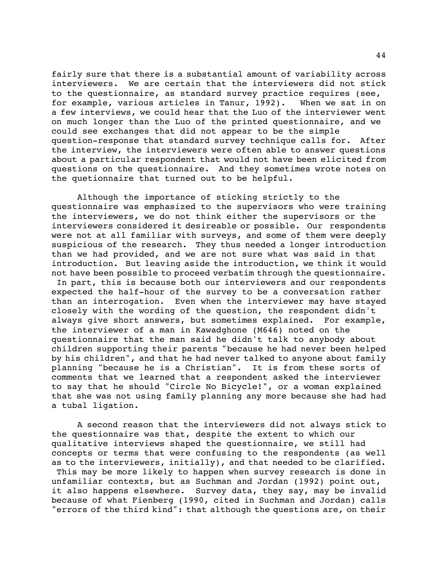fairly sure that there is a substantial amount of variability across interviewers. We are certain that the interviewers did not stick to the questionnaire, as standard survey practice requires (see, for example, various articles in Tanur, 1992). When we sat in on a few interviews, we could hear that the Luo of the interviewer went on much longer than the Luo of the printed questionnaire, and we could see exchanges that did not appear to be the simple question-response that standard survey technique calls for. After the interview, the interviewers were often able to answer questions about a particular respondent that would not have been elicited from questions on the questionnaire. And they sometimes wrote notes on the quetionnaire that turned out to be helpful.

Although the importance of sticking strictly to the questionnaire was emphasized to the supervisors who were training the interviewers, we do not think either the supervisors or the interviewers considered it desireable or possible. Our respondents were not at all familiar with surveys, and some of them were deeply suspicious of the research. They thus needed a longer introduction than we had provided, and we are not sure what was said in that introduction. But leaving aside the introduction, we think it would not have been possible to proceed verbatim through the questionnaire. In part, this is because both our interviewers and our respondents expected the half-hour of the survey to be a conversation rather than an interrogation. Even when the interviewer may have stayed closely with the wording of the question, the respondent didn't always give short answers, but sometimes explained. For example, the interviewer of a man in Kawadghone (M646) noted on the questionnaire that the man said he didn't talk to anybody about children supporting their parents "because he had never been helped by his children", and that he had never talked to anyone about family planning "because he is a Christian". It is from these sorts of comments that we learned that a respondent asked the interviewer to say that he should "Circle No Bicycle!", or a woman explained that she was not using family planning any more because she had had a tubal ligation.

A second reason that the interviewers did not always stick to the questionnaire was that, despite the extent to which our qualitative interviews shaped the questionnaire, we still had concepts or terms that were confusing to the respondents (as well as to the interviewers, initially), and that needed to be clarified. This may be more likely to happen when survey research is done in unfamiliar contexts, but as Suchman and Jordan (1992) point out, it also happens elsewhere. Survey data, they say, may be invalid because of what Fienberg (1990, cited in Suchman and Jordan) calls "errors of the third kind": that although the questions are, on their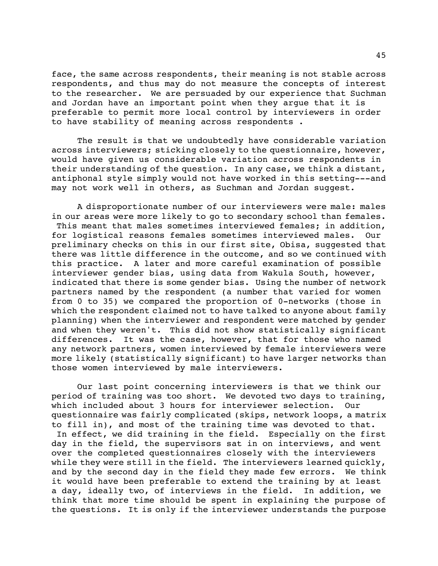face, the same across respondents, their meaning is not stable across respondents, and thus may do not measure the concepts of interest to the researcher. We are persuaded by our experience that Suchman and Jordan have an important point when they argue that it is preferable to permit more local control by interviewers in order to have stability of meaning across respondents .

The result is that we undoubtedly have considerable variation across interviewers; sticking closely to the questionnaire, however, would have given us considerable variation across respondents in their understanding of the question. In any case, we think a distant, antiphonal style simply would not have worked in this setting---and may not work well in others, as Suchman and Jordan suggest.

A disproportionate number of our interviewers were male: males in our areas were more likely to go to secondary school than females. This meant that males sometimes interviewed females; in addition, for logistical reasons females sometimes interviewed males. Our preliminary checks on this in our first site, Obisa, suggested that there was little difference in the outcome, and so we continued with this practice. A later and more careful examination of possible interviewer gender bias, using data from Wakula South, however, indicated that there is some gender bias. Using the number of network partners named by the respondent (a number that varied for women from 0 to 35) we compared the proportion of 0-networks (those in which the respondent claimed not to have talked to anyone about family planning) when the interviewer and respondent were matched by gender and when they weren't. This did not show statistically significant differences. It was the case, however, that for those who named any network partners, women interviewed by female interviewers were more likely (statistically significant) to have larger networks than those women interviewed by male interviewers.

Our last point concerning interviewers is that we think our period of training was too short. We devoted two days to training, which included about 3 hours for interviewer selection. Our questionnaire was fairly complicated (skips, network loops, a matrix to fill in), and most of the training time was devoted to that. In effect, we did training in the field. Especially on the first day in the field, the supervisors sat in on interviews, and went over the completed questionnaires closely with the interviewers while they were still in the field. The interviewers learned quickly, and by the second day in the field they made few errors. We think it would have been preferable to extend the training by at least a day, ideally two, of interviews in the field. In addition, we think that more time should be spent in explaining the purpose of the questions. It is only if the interviewer understands the purpose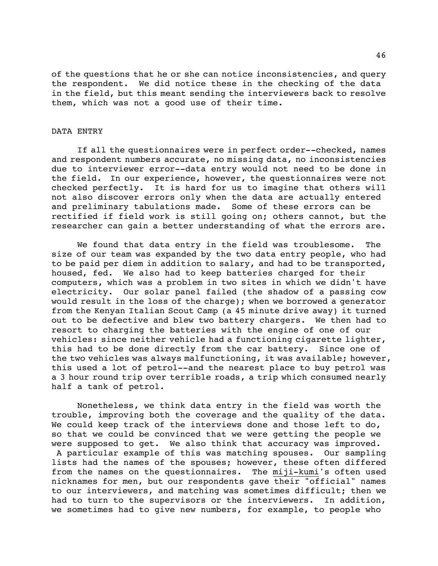of the questions that he or she can notice inconsistencies, and query the respondent. We did notice these in the checking of the data in the field, but this meant sending the interviewers back to resolve them, which was not a good use of their time.

# DATA ENTRY

If all the questionnaires were in perfect order--checked, names and respondent numbers accurate, no missing data, no inconsistencies due to interviewer error--data entry would not need to be done in the field. In our experience, however, the questionnaires were not checked perfectly. It is hard for us to imagine that others will not also discover errors only when the data are actually entered and preliminary tabulations made. Some of these errors can be rectified if field work is still going on; others cannot, but the researcher can gain a better understanding of what the errors are.

We found that data entry in the field was troublesome. The size of our team was expanded by the two data entry people, who had to be paid per diem in addition to salary, and had to be transported, housed, fed. We also had to keep batteries charged for their computers, which was a problem in two sites in which we didn't have electricity. Our solar panel failed (the shadow of a passing cow would result in the loss of the charge); when we borrowed a generator from the Kenyan Italian Scout Camp (a 45 minute drive away) it turned out to be defective and blew two battery chargers. We then had to resort to charging the batteries with the engine of one of our vehicles: since neither vehicle had a functioning cigarette lighter, this had to be done directly from the car battery. Since one of the two vehicles was always malfunctioning, it was available; however, this used a lot of petrol--and the nearest place to buy petrol was a 3 hour round trip over terrible roads, a trip which consumed nearly half a tank of petrol.

Nonetheless, we think data entry in the field was worth the trouble, improving both the coverage and the quality of the data. We could keep track of the interviews done and those left to do, so that we could be convinced that we were getting the people we were supposed to get. We also think that accuracy was improved. A particular example of this was matching spouses. Our sampling lists had the names of the spouses; however, these often differed from the names on the questionnaires. The miji-kumi's often used nicknames for men, but our respondents gave their "official" names to our interviewers, and matching was sometimes difficult; then we had to turn to the supervisors or the interviewers. In addition, we sometimes had to give new numbers, for example, to people who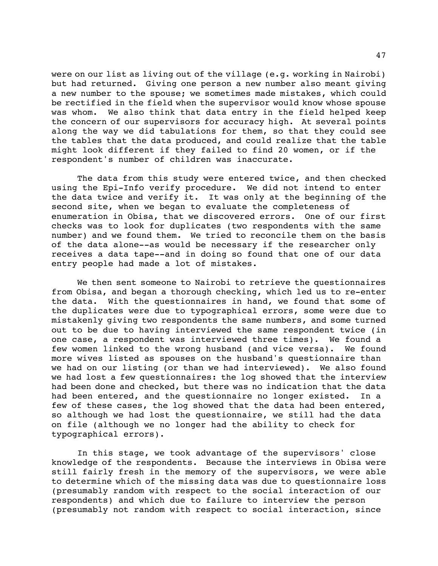were on our list as living out of the village (e.g. working in Nairobi) but had returned. Giving one person a new number also meant giving a new number to the spouse; we sometimes made mistakes, which could be rectified in the field when the supervisor would know whose spouse was whom. We also think that data entry in the field helped keep the concern of our supervisors for accuracy high. At several points along the way we did tabulations for them, so that they could see the tables that the data produced, and could realize that the table might look different if they failed to find 20 women, or if the respondent's number of children was inaccurate.

The data from this study were entered twice, and then checked using the Epi-Info verify procedure. We did not intend to enter the data twice and verify it. It was only at the beginning of the second site, when we began to evaluate the completeness of enumeration in Obisa, that we discovered errors. One of our first checks was to look for duplicates (two respondents with the same number) and we found them. We tried to reconcile them on the basis of the data alone--as would be necessary if the researcher only receives a data tape--and in doing so found that one of our data entry people had made a lot of mistakes.

We then sent someone to Nairobi to retrieve the questionnaires from Obisa, and began a thorough checking, which led us to re-enter the data. With the questionnaires in hand, we found that some of the duplicates were due to typographical errors, some were due to mistakenly giving two respondents the same numbers, and some turned out to be due to having interviewed the same respondent twice (in one case, a respondent was interviewed three times). We found a few women linked to the wrong husband (and vice versa). We found more wives listed as spouses on the husband's questionnaire than we had on our listing (or than we had interviewed). We also found we had lost a few questionnaires: the log showed that the interview had been done and checked, but there was no indication that the data had been entered, and the questionnaire no longer existed. In a few of these cases, the log showed that the data had been entered, so although we had lost the questionnaire, we still had the data on file (although we no longer had the ability to check for typographical errors).

In this stage, we took advantage of the supervisors' close knowledge of the respondents. Because the interviews in Obisa were still fairly fresh in the memory of the supervisors, we were able to determine which of the missing data was due to questionnaire loss (presumably random with respect to the social interaction of our respondents) and which due to failure to interview the person (presumably not random with respect to social interaction, since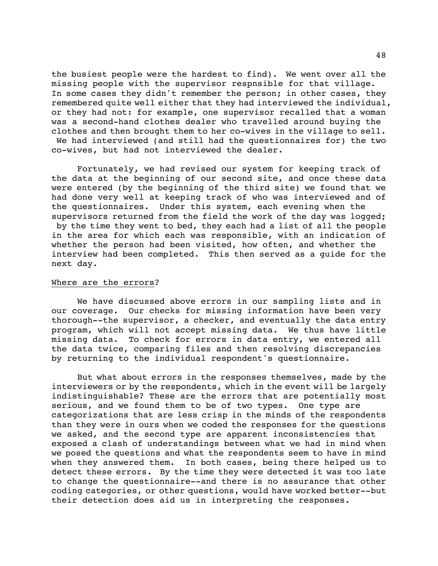the busiest people were the hardest to find). We went over all the missing people with the supervisor respnsible for that village. In some cases they didn't remember the person; in other cases, they remembered quite well either that they had interviewed the individual, or they had not: for example, one supervisor recalled that a woman was a second-hand clothes dealer who travelled around buying the clothes and then brought them to her co-wives in the village to sell. We had interviewed (and still had the questionnaires for) the two co-wives, but had not interviewed the dealer.

Fortunately, we had revised our system for keeping track of the data at the beginning of our second site, and once these data were entered (by the beginning of the third site) we found that we had done very well at keeping track of who was interviewed and of the questionnaires. Under this system, each evening when the supervisors returned from the field the work of the day was logged; by the time they went to bed, they each had a list of all the people in the area for which each was responsible, with an indication of whether the person had been visited, how often, and whether the interview had been completed. This then served as a guide for the next day.

# Where are the errors?

We have discussed above errors in our sampling lists and in our coverage. Our checks for missing information have been very thorough--the supervisor, a checker, and eventually the data entry program, which will not accept missing data. We thus have little missing data. To check for errors in data entry, we entered all the data twice, comparing files and then resolving discrepancies by returning to the individual respondent's questionnaire.

But what about errors in the responses themselves, made by the interviewers or by the respondents, which in the event will be largely indistinguishable? These are the errors that are potentially most serious, and we found them to be of two types. One type are categorizations that are less crisp in the minds of the respondents than they were in ours when we coded the responses for the questions we asked, and the second type are apparent inconsistencies that exposed a clash of understandings between what we had in mind when we posed the questions and what the respondents seem to have in mind when they answered them. In both cases, being there helped us to detect these errors. By the time they were detected it was too late to change the questionnaire--and there is no assurance that other coding categories, or other questions, would have worked better--but their detection does aid us in interpreting the responses.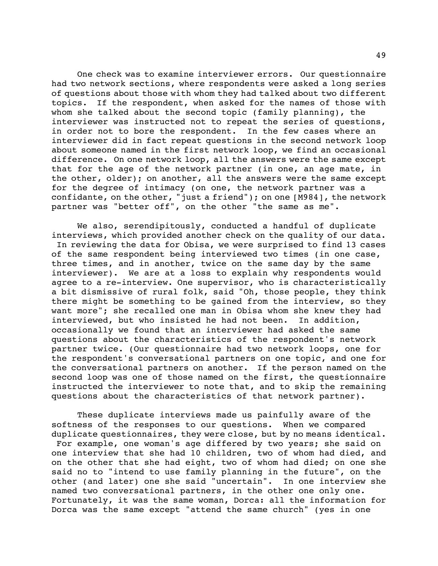One check was to examine interviewer errors. Our questionnaire had two network sections, where respondents were asked a long series of questions about those with whom they had talked about two different topics. If the respondent, when asked for the names of those with whom she talked about the second topic (family planning), the interviewer was instructed not to repeat the series of questions, in order not to bore the respondent. In the few cases where an interviewer did in fact repeat questions in the second network loop about someone named in the first network loop, we find an occasional difference. On one network loop, all the answers were the same except that for the age of the network partner (in one, an age mate, in the other, older); on another, all the answers were the same except for the degree of intimacy (on one, the network partner was a confidante, on the other, "just a friend"); on one [M984], the network partner was "better off", on the other "the same as me".

We also, serendipitously, conducted a handful of duplicate interviews, which provided another check on the quality of our data. In reviewing the data for Obisa, we were surprised to find 13 cases of the same respondent being interviewed two times (in one case, three times, and in another, twice on the same day by the same interviewer). We are at a loss to explain why respondents would agree to a re-interview. One supervisor, who is characteristically a bit dismissive of rural folk, said "Oh, those people, they think there might be something to be gained from the interview, so they want more"; she recalled one man in Obisa whom she knew they had interviewed, but who insisted he had not been. In addition, occasionally we found that an interviewer had asked the same questions about the characteristics of the respondent's network partner twice. (Our questionnaire had two network loops, one for the respondent's conversational partners on one topic, and one for the conversational partners on another. If the person named on the second loop was one of those named on the first, the questionnaire instructed the interviewer to note that, and to skip the remaining questions about the characteristics of that network partner).

These duplicate interviews made us painfully aware of the softness of the responses to our questions. When we compared duplicate questionnaires, they were close, but by no means identical. For example, one woman's age differed by two years; she said on one interview that she had 10 children, two of whom had died, and on the other that she had eight, two of whom had died; on one she said no to "intend to use family planning in the future", on the other (and later) one she said "uncertain". In one interview she named two conversational partners, in the other one only one. Fortunately, it was the same woman, Dorca: all the information for Dorca was the same except "attend the same church" (yes in one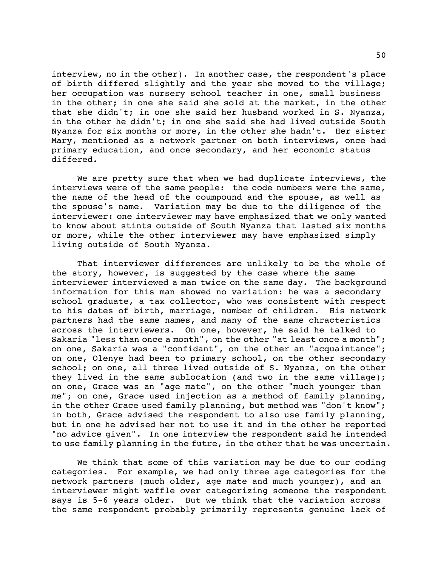interview, no in the other). In another case, the respondent's place of birth differed slightly and the year she moved to the village; her occupation was nursery school teacher in one, small business in the other; in one she said she sold at the market, in the other that she didn't; in one she said her husband worked in S. Nyanza, in the other he didn't; in one she said she had lived outside South Nyanza for six months or more, in the other she hadn't. Her sister Mary, mentioned as a network partner on both interviews, once had primary education, and once secondary, and her economic status differed.

We are pretty sure that when we had duplicate interviews, the interviews were of the same people: the code numbers were the same, the name of the head of the coumpound and the spouse, as well as the spouse's name. Variation may be due to the diligence of the interviewer: one interviewer may have emphasized that we only wanted to know about stints outside of South Nyanza that lasted six months or more, while the other interviewer may have emphasized simply living outside of South Nyanza.

That interviewer differences are unlikely to be the whole of the story, however, is suggested by the case where the same interviewer interviewed a man twice on the same day. The background information for this man showed no variation: he was a secondary school graduate, a tax collector, who was consistent with respect to his dates of birth, marriage, number of children. His network partners had the same names, and many of the same chracteristics across the interviewers. On one, however, he said he talked to Sakaria "less than once a month", on the other "at least once a month"; on one, Sakaria was a "confidant", on the other an "acquaintance"; on one, Olenye had been to primary school, on the other secondary school; on one, all three lived outside of S. Nyanza, on the other they lived in the same sublocation (and two in the same village); on one, Grace was an "age mate", on the other "much younger than me"; on one, Grace used injection as a method of family planning, in the other Grace used family planning, but method was "don't know"; in both, Grace advised the respondent to also use family planning, but in one he advised her not to use it and in the other he reported "no advice given". In one interview the respondent said he intended to use family planning in the futre, in the other that he was uncertain.

We think that some of this variation may be due to our coding categories. For example, we had only three age categories for the network partners (much older, age mate and much younger), and an interviewer might waffle over categorizing someone the respondent says is 5-6 years older. But we think that the variation across the same respondent probably primarily represents genuine lack of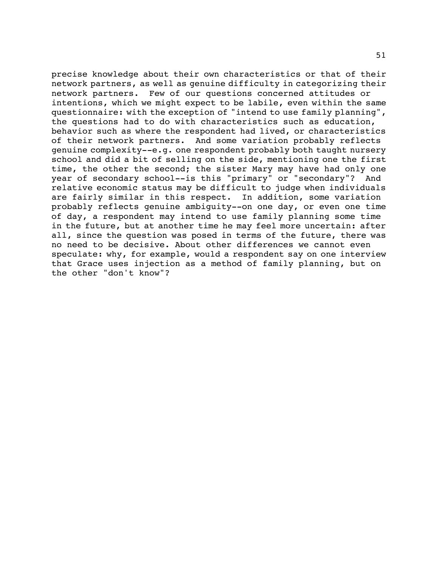precise knowledge about their own characteristics or that of their network partners, as well as genuine difficulty in categorizing their network partners. Few of our questions concerned attitudes or intentions, which we might expect to be labile, even within the same questionnaire: with the exception of "intend to use family planning", the questions had to do with characteristics such as education, behavior such as where the respondent had lived, or characteristics of their network partners. And some variation probably reflects genuine complexity--e.g. one respondent probably both taught nursery school and did a bit of selling on the side, mentioning one the first time, the other the second; the sister Mary may have had only one year of secondary school--is this "primary" or "secondary"? And relative economic status may be difficult to judge when individuals are fairly similar in this respect. In addition, some variation probably reflects genuine ambiguity--on one day, or even one time of day, a respondent may intend to use family planning some time in the future, but at another time he may feel more uncertain: after all, since the question was posed in terms of the future, there was no need to be decisive. About other differences we cannot even speculate: why, for example, would a respondent say on one interview that Grace uses injection as a method of family planning, but on the other "don't know"?